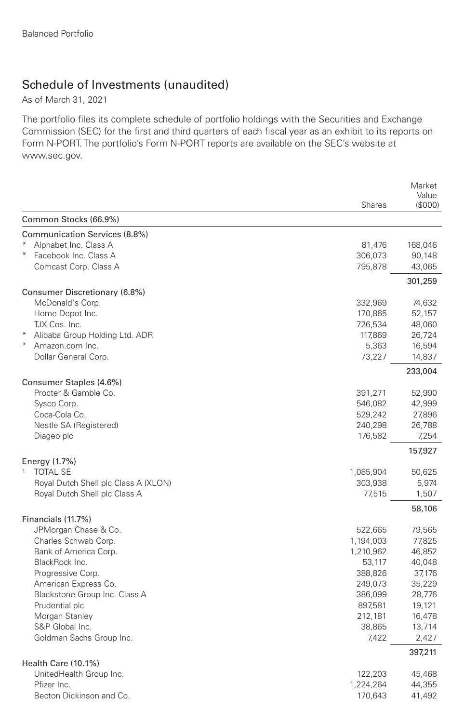## Schedule of Investments (unaudited)

As of March 31, 2021

The portfolio files its complete schedule of portfolio holdings with the Securities and Exchange Commission (SEC) for the first and third quarters of each fiscal year as an exhibit to its reports on Form N-PORT. The portfolio's Form N-PORT reports are available on the SEC's website at www.sec.gov.

|                                      |               | Market           |
|--------------------------------------|---------------|------------------|
|                                      | <b>Shares</b> | Value<br>(\$000) |
| Common Stocks (66.9%)                |               |                  |
| Communication Services (8.8%)        |               |                  |
| Alphabet Inc. Class A                | 81,476        | 168,046          |
| Facebook Inc. Class A                | 306,073       | 90,148           |
| Comcast Corp. Class A                | 795,878       | 43,065           |
|                                      |               | 301,259          |
| Consumer Discretionary (6.8%)        |               |                  |
| McDonald's Corp.                     | 332,969       | 74,632           |
| Home Depot Inc.                      | 170,865       | 52,157           |
| TJX Cos. Inc.                        | 726,534       | 48,060           |
| Alibaba Group Holding Ltd. ADR       | 117,869       | 26,724           |
| Amazon.com Inc.                      | 5,363         | 16,594           |
| Dollar General Corp.                 | 73,227        | 14,837           |
| Consumer Staples (4.6%)              |               | 233,004          |
| Procter & Gamble Co.                 | 391,271       | 52,990           |
| Sysco Corp.                          | 546,082       | 42,999           |
| Coca-Cola Co.                        | 529,242       | 27,896           |
| Nestle SA (Registered)               | 240,298       | 26,788           |
| Diageo plc                           | 176,582       | 7,254            |
|                                      |               | 157,927          |
| Energy (1.7%)                        |               |                  |
| 1<br><b>TOTAL SE</b>                 | 1,085,904     | 50,625           |
| Royal Dutch Shell plc Class A (XLON) | 303,938       | 5,974            |
| Royal Dutch Shell plc Class A        | 77,515        | 1,507            |
| Financials (11.7%)                   |               | 58,106           |
| JPMorgan Chase & Co.                 | 522,665       | 79,565           |
| Charles Schwab Corp.                 | 1,194,003     | 77,825           |
| Bank of America Corp.                | 1,210,962     | 46,852           |
| BlackRock Inc.                       | 53,117        | 40,048           |
| Progressive Corp.                    | 388,826       | 37,176           |
| American Express Co.                 | 249,073       | 35,229           |
| Blackstone Group Inc. Class A        | 386,099       | 28,776           |
| Prudential plc                       | 897,581       | 19,121           |
| Morgan Stanley                       | 212,181       | 16,478           |
| S&P Global Inc.                      | 38,865        | 13,714           |
| Goldman Sachs Group Inc.             | 7,422         | 2,427            |
|                                      |               | 397,211          |
| Health Care (10.1%)                  |               |                  |
| UnitedHealth Group Inc.              | 122,203       | 45,468           |
| Pfizer Inc.                          | 1,224,264     | 44,355           |
| Becton Dickinson and Co.             | 170,643       | 41,492           |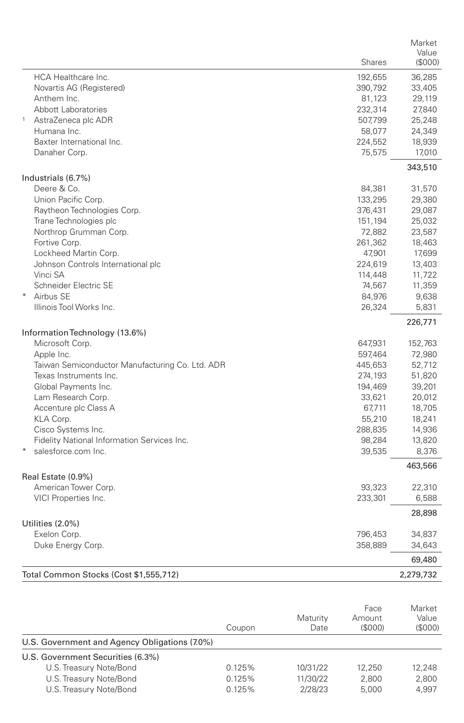|                                                            | Market    |
|------------------------------------------------------------|-----------|
| <b>Shares</b>                                              | Value     |
|                                                            | (\$000)   |
| <b>HCA Healthcare Inc.</b><br>192,655                      | 36,285    |
| Novartis AG (Registered)<br>390,792                        | 33,405    |
| Anthem Inc.<br>81,123                                      | 29,119    |
| Abbott Laboratories<br>232,314                             | 27,840    |
| $\mathbf{1}$<br>AstraZeneca plc ADR<br>507,799             | 25,248    |
| Humana Inc.<br>58,077                                      | 24,349    |
| Baxter International Inc.<br>224,552                       | 18,939    |
| Danaher Corp.<br>75,575                                    | 17,010    |
| Industrials (6.7%)                                         | 343,510   |
| Deere & Co.<br>84,381                                      | 31,570    |
| Union Pacific Corp.<br>133,295                             | 29,380    |
| Raytheon Technologies Corp.<br>376,431                     | 29,087    |
| Trane Technologies plc<br>151,194                          | 25,032    |
| Northrop Grumman Corp.<br>72,882                           | 23,587    |
| Fortive Corp.<br>261,362                                   | 18,463    |
| Lockheed Martin Corp.<br>47,901                            | 17,699    |
| Johnson Controls International plc<br>224,619              | 13,403    |
| Vinci SA<br>114,448                                        | 11,722    |
| Schneider Electric SE<br>74,567                            | 11,359    |
| $*$<br>Airbus SE<br>84,976                                 | 9,638     |
| Illinois Tool Works Inc.<br>26,324                         | 5,831     |
|                                                            | 226,771   |
| Information Technology (13.6%)                             |           |
| Microsoft Corp.<br>647,931                                 | 152,763   |
| Apple Inc.<br>597,464                                      | 72,980    |
| Taiwan Semiconductor Manufacturing Co. Ltd. ADR<br>445,653 | 52,712    |
| Texas Instruments Inc.<br>274,193                          | 51,820    |
| Global Payments Inc.<br>194,469                            | 39,201    |
| Lam Research Corp.<br>33,621                               | 20,012    |
| Accenture plc Class A<br>67,711                            | 18,705    |
| KLA Corp.<br>55,210                                        | 18,241    |
| Cisco Systems Inc.<br>288,835                              | 14,936    |
| Fidelity National Information Services Inc.<br>98,284      | 13,820    |
| salesforce.com Inc.<br>39,535                              | 8,376     |
|                                                            | 463,566   |
| Real Estate (0.9%)                                         |           |
| American Tower Corp.<br>93,323                             | 22,310    |
| VICI Properties Inc.<br>233,301                            | 6,588     |
|                                                            | 28,898    |
| Utilities (2.0%)                                           |           |
| Exelon Corp.<br>796,453                                    | 34,837    |
| Duke Energy Corp.<br>358,889                               | 34,643    |
|                                                            | 69,480    |
| Total Common Stocks (Cost \$1,555,712)                     | 2,279,732 |

|                                               | Coupon | Maturity<br>Date | Face<br>Amount<br>(S000) | Market<br>Value<br>(S000) |
|-----------------------------------------------|--------|------------------|--------------------------|---------------------------|
| U.S. Government and Agency Obligations (7.0%) |        |                  |                          |                           |
| U.S. Government Securities (6.3%)             |        |                  |                          |                           |
| U.S. Treasury Note/Bond                       | 0.125% | 10/31/22         | 12.250                   | 12.248                    |
| U.S. Treasury Note/Bond                       | 0.125% | 11/30/22         | 2.800                    | 2,800                     |
| U.S. Treasury Note/Bond                       | 0.125% | 2/28/23          | 5.000                    | 4.997                     |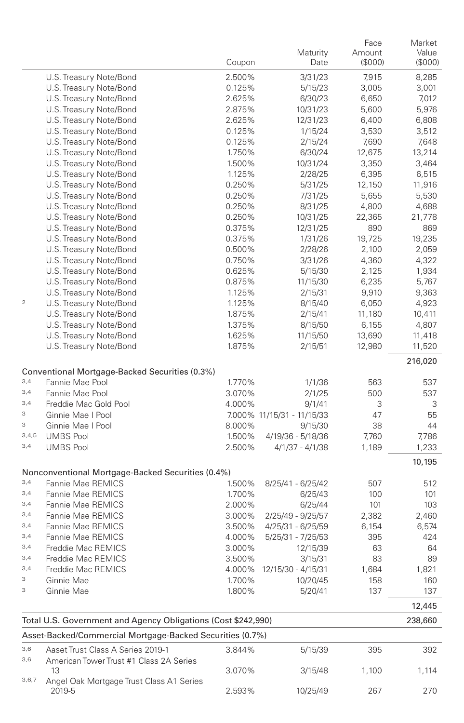|           |                                                               | Coupon | Maturity<br>Date           | Face<br>Amount<br>(\$000) | Market<br>Value<br>(\$000) |
|-----------|---------------------------------------------------------------|--------|----------------------------|---------------------------|----------------------------|
|           | U.S. Treasury Note/Bond                                       | 2.500% | 3/31/23                    | 7,915                     | 8,285                      |
|           | U.S. Treasury Note/Bond                                       | 0.125% | 5/15/23                    | 3,005                     | 3,001                      |
|           | U.S. Treasury Note/Bond                                       | 2.625% | 6/30/23                    | 6,650                     | 7,012                      |
|           | U.S. Treasury Note/Bond                                       | 2.875% | 10/31/23                   | 5,600                     | 5,976                      |
|           | U.S. Treasury Note/Bond                                       | 2.625% | 12/31/23                   | 6,400                     | 6,808                      |
|           | U.S. Treasury Note/Bond                                       | 0.125% | 1/15/24                    | 3,530                     | 3,512                      |
|           | U.S. Treasury Note/Bond                                       | 0.125% | 2/15/24                    | 7,690                     | 7,648                      |
|           | U.S. Treasury Note/Bond                                       | 1.750% | 6/30/24                    | 12,675                    | 13,214                     |
|           | U.S. Treasury Note/Bond                                       | 1.500% | 10/31/24                   | 3,350                     | 3,464                      |
|           | U.S. Treasury Note/Bond                                       | 1.125% | 2/28/25                    | 6,395                     | 6,515                      |
|           | U.S. Treasury Note/Bond                                       | 0.250% | 5/31/25                    | 12,150                    | 11,916                     |
|           | U.S. Treasury Note/Bond                                       | 0.250% | 7/31/25                    | 5,655                     | 5,530                      |
|           | U.S. Treasury Note/Bond                                       | 0.250% | 8/31/25                    | 4,800                     | 4,688                      |
|           | U.S. Treasury Note/Bond                                       | 0.250% | 10/31/25                   | 22,365                    | 21,778                     |
|           | U.S. Treasury Note/Bond                                       | 0.375% | 12/31/25                   | 890                       | 869                        |
|           | U.S. Treasury Note/Bond                                       | 0.375% | 1/31/26                    | 19,725                    | 19,235                     |
|           | U.S. Treasury Note/Bond                                       | 0.500% | 2/28/26                    | 2,100                     | 2,059                      |
|           | U.S. Treasury Note/Bond                                       | 0.750% | 3/31/26                    | 4,360                     | 4,322                      |
|           | U.S. Treasury Note/Bond                                       | 0.625% | 5/15/30                    | 2,125                     | 1,934                      |
|           | U.S. Treasury Note/Bond                                       | 0.875% | 11/15/30                   | 6,235                     | 5,767                      |
|           | U.S. Treasury Note/Bond                                       | 1.125% | 2/15/31                    | 9,910                     | 9,363                      |
| $\bar{2}$ | U.S. Treasury Note/Bond                                       | 1.125% | 8/15/40                    | 6,050                     | 4,923                      |
|           | U.S. Treasury Note/Bond                                       | 1.875% | 2/15/41                    | 11,180                    | 10,411                     |
|           | U.S. Treasury Note/Bond                                       | 1.375% | 8/15/50                    | 6,155                     | 4,807                      |
|           | U.S. Treasury Note/Bond                                       | 1.625% | 11/15/50                   | 13,690                    | 11,418                     |
|           | U.S. Treasury Note/Bond                                       | 1.875% | 2/15/51                    | 12,980                    | 11,520                     |
|           |                                                               |        |                            |                           | 216,020                    |
|           | Conventional Mortgage-Backed Securities (0.3%)                |        |                            |                           |                            |
| 3,4       | Fannie Mae Pool                                               | 1.770% | 1/1/36                     | 563                       | 537                        |
| 3,4       | Fannie Mae Pool                                               | 3.070% | 2/1/25                     | 500                       | 537                        |
| 3,4       | Freddie Mac Gold Pool                                         | 4.000% | 9/1/41                     | 3                         | 3                          |
| 3         | Ginnie Mae I Pool                                             |        | 7.000% 11/15/31 - 11/15/33 | 47                        | 55                         |
| З         | Ginnie Mae I Pool                                             | 8.000% | 9/15/30                    | 38                        | 44                         |
| 3, 4, 5   | <b>UMBS Pool</b>                                              | 1.500% | 4/19/36 - 5/18/36          | 7,760                     | 7,786                      |
| 3,4       | <b>UMBS Pool</b>                                              | 2.500% | 4/1/37 - 4/1/38            | 1,189                     | 1,233                      |
|           |                                                               |        |                            |                           | 10,195                     |
|           | Nonconventional Mortgage-Backed Securities (0.4%)             |        |                            |                           |                            |
| 3,4       | Fannie Mae REMICS                                             | 1.500% | 8/25/41 - 6/25/42          | 507                       | 512                        |
| 3,4       | Fannie Mae REMICS                                             | 1.700% | 6/25/43                    | 100                       | 101                        |
| 3,4       | Fannie Mae REMICS                                             | 2.000% | 6/25/44                    | 101                       | 103                        |
| 3,4       | Fannie Mae REMICS                                             | 3.000% | 2/25/49 - 9/25/57          | 2,382                     | 2,460                      |
| 3,4       | Fannie Mae REMICS                                             | 3.500% | 4/25/31 - 6/25/59          | 6,154                     | 6,574                      |
| 3,4       | Fannie Mae REMICS                                             | 4.000% | 5/25/31 - 7/25/53          | 395                       | 424                        |
| 3,4       | Freddie Mac REMICS                                            | 3.000% | 12/15/39                   | 63                        | 64                         |
| 3,4       | Freddie Mac REMICS                                            | 3.500% | 3/15/31                    | 83                        | 89                         |
| 3,4       | Freddie Mac REMICS                                            | 4.000% | 12/15/30 - 4/15/31         | 1,684                     | 1,821                      |
| 3         | Ginnie Mae                                                    | 1.700% | 10/20/45                   | 158                       | 160                        |
| 3         | Ginnie Mae                                                    | 1.800% | 5/20/41                    | 137                       | 137                        |
|           |                                                               |        |                            |                           | 12,445                     |
|           | Total U.S. Government and Agency Obligations (Cost \$242,990) |        |                            |                           | 238,660                    |
|           | Asset-Backed/Commercial Mortgage-Backed Securities (0.7%)     |        |                            |                           |                            |
| 3,6       | Aaset Trust Class A Series 2019-1                             | 3.844% | 5/15/39                    | 395                       | 392                        |
| 3,6       | American Tower Trust #1 Class 2A Series                       |        |                            |                           |                            |
| 3,6,7     | 13<br>Angel Oak Mortgage Trust Class A1 Series                | 3.070% | 3/15/48                    | 1,100                     | 1,114                      |
|           | 2019-5                                                        | 2.593% | 10/25/49                   | 267                       | 270                        |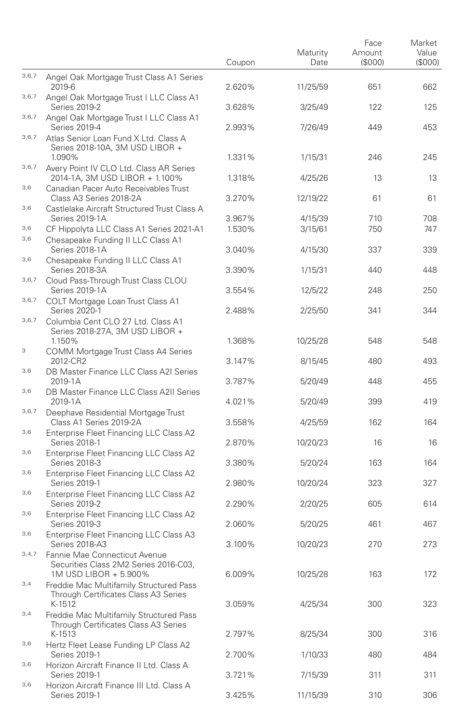|       |                                                                                                 | Coupon | Maturity<br>Date | Face<br>Amount<br>(\$000) | Market<br>Value<br>(S000) |
|-------|-------------------------------------------------------------------------------------------------|--------|------------------|---------------------------|---------------------------|
| 3,6,7 | Angel Oak Mortgage Trust Class A1 Series<br>2019-6                                              | 2.620% | 11/25/59         | 651                       | 662                       |
| 3,6,7 | Angel Oak Mortgage Trust I LLC Class A1<br>Series 2019-2                                        | 3.628% | 3/25/49          | 122                       | 125                       |
| 3,6,7 | Angel Oak Mortgage Trust I LLC Class A1<br>Series 2019-4                                        | 2.993% | 7/26/49          | 449                       | 453                       |
| 3,6,7 | Atlas Senior Loan Fund X Ltd. Class A<br>Series 2018-10A, 3M USD LIBOR +<br>1.090%              | 1.331% | 1/15/31          | 246                       | 245                       |
| 3,6,7 | Avery Point IV CLO Ltd. Class AR Series<br>2014-1A, 3M USD LIBOR + 1.100%                       | 1.318% | 4/25/26          | 13                        | 13                        |
| 3,6   | Canadian Pacer Auto Receivables Trust<br>Class A3 Series 2018-2A                                | 3.270% | 12/19/22         | 61                        | 61                        |
| 3,6   | Castlelake Aircraft Structured Trust Class A<br>Series 2019-1A                                  | 3.967% | 4/15/39          | 710                       | 708                       |
| 3,6   | CF Hippolyta LLC Class A1 Series 2021-A1                                                        | 1.530% | 3/15/61          | 750                       | 747                       |
| 3,6   | Chesapeake Funding II LLC Class A1<br>Series 2018-1A                                            | 3.040% | 4/15/30          | 337                       | 339                       |
| 3,6   | Chesapeake Funding II LLC Class A1<br>Series 2018-3A                                            | 3.390% | 1/15/31          | 440                       | 448                       |
| 3,6,7 | Cloud Pass-Through Trust Class CLOU<br>Series 2019-1A                                           | 3.554% | 12/5/22          | 248                       | 250                       |
| 3,6,7 | COLT Mortgage Loan Trust Class A1<br>Series 2020-1                                              | 2.488% | 2/25/50          | 341                       | 344                       |
| 3,6,7 | Columbia Cent CLO 27 Ltd. Class A1<br>Series 2018-27A, 3M USD LIBOR +<br>1.150%                 | 1.368% | 10/25/28         | 548                       | 548                       |
| 3     | COMM Mortgage Trust Class A4 Series<br>2012-CR2                                                 | 3.147% | 8/15/45          | 480                       | 493                       |
| 3,6   | DB Master Finance LLC Class A2I Series<br>2019-1A                                               | 3.787% | 5/20/49          | 448                       | 455                       |
| 3,6   | DB Master Finance LLC Class A2II Series<br>2019-1A                                              | 4.021% | 5/20/49          | 399                       | 419                       |
| 3,6,7 | Deephave Residential Mortgage Trust<br>Class A1 Series 2019-2A                                  | 3.558% | 4/25/59          | 162                       | 164                       |
| 3,6   | Enterprise Fleet Financing LLC Class A2<br>Series 2018-1                                        | 2.870% | 10/20/23         | 16                        | 16                        |
| 3,6   | Enterprise Fleet Financing LLC Class A2<br>Series 2018-3                                        | 3.380% | 5/20/24          | 163                       | 164                       |
| 3,6   | Enterprise Fleet Financing LLC Class A2<br>Series 2019-1                                        | 2.980% | 10/20/24         | 323                       | 327                       |
| 3,6   | Enterprise Fleet Financing LLC Class A2<br>Series 2019-2                                        | 2.290% | 2/20/25          | 605                       | 614                       |
| 3,6   | Enterprise Fleet Financing LLC Class A2<br>Series 2019-3                                        | 2.060% | 5/20/25          | 461                       | 467                       |
| 3,6   | Enterprise Fleet Financing LLC Class A3<br>Series 2018-A3                                       | 3.100% | 10/20/23         | 270                       | 273                       |
| 3,4,7 | Fannie Mae Connecticut Avenue<br>Securities Class 2M2 Series 2016-C03,<br>1M USD LIBOR + 5.900% | 6.009% | 10/25/28         | 163                       | 172                       |
| 3,4   | Freddie Mac Multifamily Structured Pass<br>Through Certificates Class A3 Series<br>K-1512       | 3.059% | 4/25/34          | 300                       | 323                       |
| 3,4   | Freddie Mac Multifamily Structured Pass<br>Through Certificates Class A3 Series<br>K-1513       |        |                  |                           | 316                       |
| 3,6   | Hertz Fleet Lease Funding LP Class A2                                                           | 2.797% | 8/25/34          | 300                       |                           |
| 3,6   | Series 2019-1<br>Horizon Aircraft Finance II Ltd. Class A                                       | 2.700% | 1/10/33          | 480                       | 484                       |
| 3,6   | Series 2019-1<br>Horizon Aircraft Finance III Ltd. Class A                                      | 3.721% | 7/15/39          | 311                       | 311                       |
|       | Series 2019-1                                                                                   | 3.425% | 11/15/39         | 310                       | 306                       |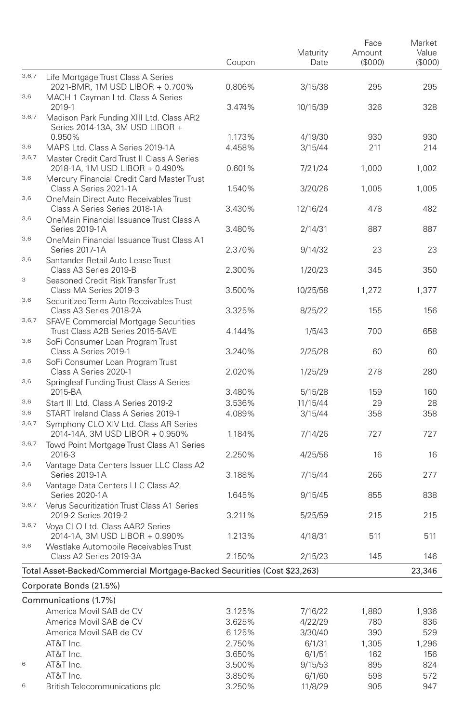|       |                                                                          |                  | Maturity           | Face<br>Amount | Market<br>Value |
|-------|--------------------------------------------------------------------------|------------------|--------------------|----------------|-----------------|
|       |                                                                          | Coupon           | Date               | (\$000)        | (\$000)         |
| 3,6,7 | Life Mortgage Trust Class A Series                                       |                  |                    |                |                 |
|       | 2021-BMR, 1M USD LIBOR + 0.700%                                          | 0.806%           | 3/15/38            | 295            | 295             |
| 3,6   | MACH 1 Cayman Ltd. Class A Series                                        |                  |                    |                |                 |
| 3,6,7 | 2019-1<br>Madison Park Funding XIII Ltd. Class AR2                       | 3.474%           | 10/15/39           | 326            | 328             |
|       | Series 2014-13A, 3M USD LIBOR +                                          |                  |                    |                |                 |
|       | 0.950%                                                                   | 1.173%           | 4/19/30            | 930            | 930             |
| 3,6   | MAPS Ltd. Class A Series 2019-1A                                         | 4.458%           | 3/15/44            | 211            | 214             |
| 3,6,7 | Master Credit Card Trust II Class A Series                               |                  |                    |                |                 |
| 3,6   | 2018-1A, 1M USD LIBOR + 0.490%                                           | 0.601%           | 7/21/24            | 1,000          | 1,002           |
|       | Mercury Financial Credit Card Master Trust<br>Class A Series 2021-1A     | 1.540%           | 3/20/26            | 1,005          | 1.005           |
| 3,6   | OneMain Direct Auto Receivables Trust                                    |                  |                    |                |                 |
|       | Class A Series Series 2018-1A                                            | 3.430%           | 12/16/24           | 478            | 482             |
| 3,6   | OneMain Financial Issuance Trust Class A                                 |                  |                    |                |                 |
|       | Series 2019-1A                                                           | 3.480%           | 2/14/31            | 887            | 887             |
| 3,6   | OneMain Financial Issuance Trust Class A1<br>Series 2017-1A              | 2.370%           | 9/14/32            | 23             | 23              |
| 3,6   | Santander Retail Auto Lease Trust                                        |                  |                    |                |                 |
|       | Class A3 Series 2019-B                                                   | 2.300%           | 1/20/23            | 345            | 350             |
| 3     | Seasoned Credit Risk Transfer Trust                                      |                  |                    |                |                 |
|       | Class MA Series 2019-3                                                   | 3.500%           | 10/25/58           | 1,272          | 1,377           |
| 3,6   | Securitized Term Auto Receivables Trust                                  |                  |                    |                |                 |
| 3,6,7 | Class A3 Series 2018-2A                                                  | 3.325%           | 8/25/22            | 155            | 156             |
|       | SFAVE Commercial Mortgage Securities<br>Trust Class A2B Series 2015-5AVE | 4.144%           | 1/5/43             | 700            | 658             |
| 3,6   | SoFi Consumer Loan Program Trust                                         |                  |                    |                |                 |
|       | Class A Series 2019-1                                                    | 3.240%           | 2/25/28            | 60             | 60              |
| 3,6   | SoFi Consumer Loan Program Trust                                         |                  |                    |                |                 |
|       | Class A Series 2020-1                                                    | 2.020%           | 1/25/29            | 278            | 280             |
| 3,6   | Springleaf Funding Trust Class A Series<br>2015-BA                       | 3.480%           | 5/15/28            | 159            | 160             |
| 3,6   | Start III Ltd. Class A Series 2019-2                                     | 3.536%           | 11/15/44           | 29             | 28              |
| 3,6   | START Ireland Class A Series 2019-1                                      | 4.089%           | 3/15/44            | 358            | 358             |
| 3,6,7 | Symphony CLO XIV Ltd. Class AR Series                                    |                  |                    |                |                 |
|       | 2014-14A, 3M USD LIBOR + 0.950%                                          | 1.184%           | 7/14/26            | 727            | 727             |
| 3,6,7 | Towd Point Mortgage Trust Class A1 Series                                |                  |                    |                |                 |
| 3,6   | 2016-3                                                                   | 2.250%           | 4/25/56            | 16             | 16              |
|       | Vantage Data Centers Issuer LLC Class A2<br>Series 2019-1A               | 3.188%           | 7/15/44            | 266            | 277             |
| 3,6   | Vantage Data Centers LLC Class A2                                        |                  |                    |                |                 |
|       | <b>Series 2020-1A</b>                                                    | 1.645%           | 9/15/45            | 855            | 838             |
| 3,6,7 | Verus Securitization Trust Class A1 Series                               |                  |                    |                |                 |
|       | 2019-2 Series 2019-2                                                     | 3.211%           | 5/25/59            | 215            | 215             |
| 3,6,7 | Voya CLO Ltd. Class AAR2 Series<br>2014-1A, 3M USD LIBOR + 0.990%        | 1.213%           | 4/18/31            | 511            | 511             |
| 3,6   | Westlake Automobile Receivables Trust                                    |                  |                    |                |                 |
|       | Class A2 Series 2019-3A                                                  | 2.150%           | 2/15/23            | 145            | 146             |
|       | Total Asset-Backed/Commercial Mortgage-Backed Securities (Cost \$23,263) |                  |                    |                | 23,346          |
|       |                                                                          |                  |                    |                |                 |
|       | Corporate Bonds (21.5%)                                                  |                  |                    |                |                 |
|       | Communications (1.7%)                                                    |                  |                    |                |                 |
|       | America Movil SAB de CV<br>America Movil SAB de CV                       | 3.125%<br>3.625% | 7/16/22<br>4/22/29 | 1,880<br>780   | 1,936<br>836    |
|       | America Movil SAB de CV                                                  | 6.125%           | 3/30/40            | 390            | 529             |
|       | AT&T Inc.                                                                | 2.750%           | 6/1/31             | 1,305          | 1,296           |
|       | AT&T Inc.                                                                | 3.650%           | 6/1/51             | 162            | 156             |
| 6     | AT&T Inc.                                                                | 3.500%           | 9/15/53            | 895            | 824             |
|       | AT&T Inc.                                                                | 3.850%           | 6/1/60             | 598            | 572             |
| 6     | British Telecommunications plc                                           | 3.250%           | 11/8/29            | 905            | 947             |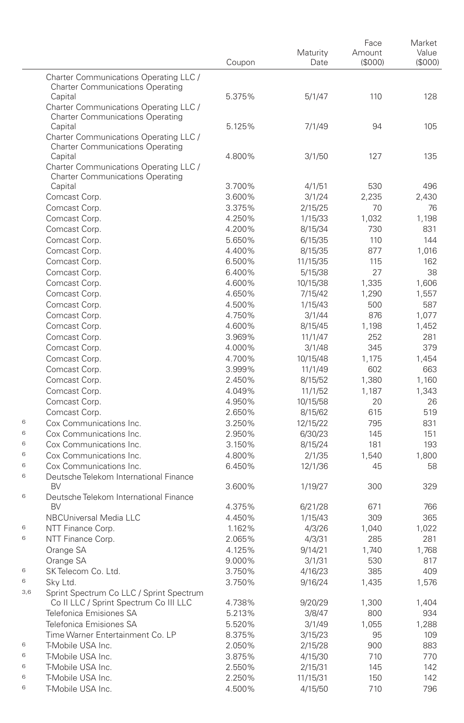|     |                                                                                   | Coupon | Maturity<br>Date | Face<br>Amount<br>(\$000) | Market<br>Value<br>(\$000) |
|-----|-----------------------------------------------------------------------------------|--------|------------------|---------------------------|----------------------------|
|     | Charter Communications Operating LLC /<br><b>Charter Communications Operating</b> |        |                  |                           |                            |
|     | Capital<br>Charter Communications Operating LLC /                                 | 5.375% | 5/1/47           | 110                       | 128                        |
|     | <b>Charter Communications Operating</b>                                           |        |                  |                           |                            |
|     | Capital                                                                           | 5.125% | 7/1/49           | 94                        | 105                        |
|     | Charter Communications Operating LLC /<br><b>Charter Communications Operating</b> |        |                  |                           |                            |
|     | Capital                                                                           | 4.800% | 3/1/50           | 127                       | 135                        |
|     | Charter Communications Operating LLC /<br><b>Charter Communications Operating</b> |        |                  |                           |                            |
|     | Capital                                                                           | 3.700% | 4/1/51           | 530                       | 496                        |
|     | Comcast Corp.                                                                     | 3.600% | 3/1/24           | 2,235                     | 2,430                      |
|     | Comcast Corp.                                                                     | 3.375% | 2/15/25          | 70                        | 76                         |
|     | Comcast Corp.                                                                     | 4.250% | 1/15/33          | 1,032                     | 1,198                      |
|     | Comcast Corp.                                                                     | 4.200% | 8/15/34          | 730                       | 831                        |
|     | Comcast Corp.                                                                     | 5.650% | 6/15/35          | 110                       | 144                        |
|     | Comcast Corp.                                                                     | 4.400% | 8/15/35          | 877                       | 1,016                      |
|     | Comcast Corp.                                                                     | 6.500% | 11/15/35         | 115                       | 162                        |
|     | Comcast Corp.                                                                     | 6.400% | 5/15/38          | 27                        | 38                         |
|     | Comcast Corp.                                                                     | 4.600% | 10/15/38         | 1,335                     | 1,606                      |
|     | Comcast Corp.                                                                     | 4.650% | 7/15/42          | 1,290                     | 1,557                      |
|     | Comcast Corp.                                                                     | 4.500% | 1/15/43          | 500                       | 587                        |
|     | Comcast Corp.                                                                     | 4.750% | 3/1/44           | 876                       | 1,077                      |
|     | Comcast Corp.                                                                     | 4.600% | 8/15/45          | 1,198                     | 1,452                      |
|     | Comcast Corp.                                                                     | 3.969% | 11/1/47          | 252                       | 281                        |
|     | Comcast Corp.                                                                     | 4.000% | 3/1/48           | 345                       | 379                        |
|     | Comcast Corp.                                                                     | 4.700% | 10/15/48         | 1,175                     | 1,454                      |
|     | Comcast Corp.                                                                     | 3.999% | 11/1/49          | 602                       | 663                        |
|     | Comcast Corp.                                                                     | 2.450% | 8/15/52          | 1,380                     | 1,160                      |
|     | Comcast Corp.                                                                     | 4.049% | 11/1/52          | 1,187                     | 1,343                      |
|     | Comcast Corp.                                                                     | 4.950% | 10/15/58         | 20                        | 26                         |
|     | Comcast Corp.                                                                     | 2.650% | 8/15/62          | 615                       | 519                        |
| 6   | Cox Communications Inc.                                                           | 3.250% | 12/15/22         | 795                       | 831                        |
| 6   | Cox Communications Inc.                                                           | 2.950% | 6/30/23          | 145                       | 151                        |
| 6   | Cox Communications Inc.                                                           | 3.150% | 8/15/24          | 181                       | 193                        |
| 6   | Cox Communications Inc.                                                           | 4.800% | 2/1/35           | 1,540                     | 1,800                      |
| 6   | Cox Communications Inc.                                                           | 6.450% | 12/1/36          | 45                        | 58                         |
| 6   | Deutsche Telekom International Finance<br><b>BV</b>                               |        |                  |                           |                            |
| 6   | Deutsche Telekom International Finance                                            | 3.600% | 1/19/27          | 300                       | 329                        |
|     | <b>BV</b>                                                                         | 4.375% | 6/21/28          | 671                       | 766                        |
|     | NBCUniversal Media LLC                                                            | 4.450% | 1/15/43          | 309                       | 365                        |
| 6   | NTT Finance Corp.                                                                 | 1.162% | 4/3/26           | 1,040                     | 1,022                      |
| 6   | NTT Finance Corp.                                                                 | 2.065% | 4/3/31           | 285                       | 281                        |
|     | Orange SA                                                                         | 4.125% | 9/14/21          | 1,740                     | 1.768                      |
|     | Orange SA                                                                         | 9.000% | 3/1/31           | 530                       | 817                        |
| 6   | SK Telecom Co. Ltd.                                                               | 3.750% | 4/16/23          | 385                       | 409                        |
| 6   | Sky Ltd.                                                                          | 3.750% | 9/16/24          | 1,435                     | 1,576                      |
| 3,6 | Sprint Spectrum Co LLC / Sprint Spectrum                                          |        |                  |                           |                            |
|     | Co II LLC / Sprint Spectrum Co III LLC                                            | 4.738% | 9/20/29          | 1,300                     | 1,404                      |
|     | Telefonica Emisiones SA                                                           | 5.213% | 3/8/47           | 800                       | 934                        |
|     | Telefonica Emisiones SA                                                           | 5.520% | 3/1/49           | 1,055                     | 1,288                      |
|     | Time Warner Entertainment Co. LP                                                  | 8.375% | 3/15/23          | 95                        | 109                        |
| 6   | T-Mobile USA Inc.                                                                 | 2.050% | 2/15/28          | 900                       | 883                        |
| 6   | T-Mobile USA Inc.                                                                 | 3.875% | 4/15/30          | 710                       | 770                        |
| 6   | T-Mobile USA Inc.                                                                 | 2.550% | 2/15/31          | 145                       | 142                        |
| 6   | T-Mobile USA Inc.                                                                 | 2.250% | 11/15/31         | 150                       | 142                        |
| 6   | T-Mobile USA Inc.                                                                 | 4.500% | 4/15/50          | 710                       | 796                        |
|     |                                                                                   |        |                  |                           |                            |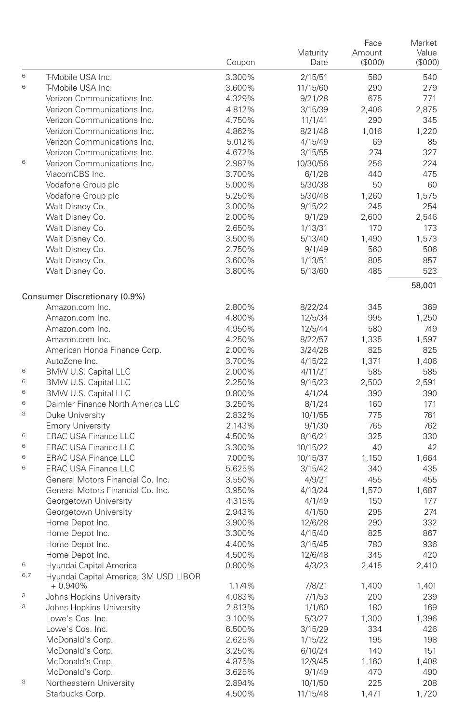|     |                                                     | Coupon | Maturity<br>Date | Face<br>Amount<br>(\$000) | Market<br>Value<br>(\$000) |
|-----|-----------------------------------------------------|--------|------------------|---------------------------|----------------------------|
| 6   | T-Mobile USA Inc.                                   | 3.300% | 2/15/51          | 580                       | 540                        |
| 6   | T-Mobile USA Inc.                                   | 3.600% | 11/15/60         | 290                       | 279                        |
|     | Verizon Communications Inc.                         | 4.329% | 9/21/28          | 675                       | 771                        |
|     | Verizon Communications Inc.                         | 4.812% | 3/15/39          | 2,406                     | 2,875                      |
|     | Verizon Communications Inc.                         | 4.750% | 11/1/41          | 290                       | 345                        |
|     | Verizon Communications Inc.                         | 4.862% | 8/21/46          | 1,016                     | 1,220                      |
|     | Verizon Communications Inc.                         | 5.012% | 4/15/49          | 69                        | 85                         |
|     | Verizon Communications Inc.                         | 4.672% | 3/15/55          | 274                       | 327                        |
| 6   | Verizon Communications Inc.                         | 2.987% | 10/30/56         | 256                       | 224                        |
|     | ViacomCBS Inc.                                      | 3.700% | 6/1/28           | 440                       | 475                        |
|     | Vodafone Group plc                                  | 5.000% | 5/30/38          | 50                        | 60                         |
|     | Vodafone Group plc                                  | 5.250% | 5/30/48          | 1,260                     | 1,575                      |
|     | Walt Disney Co.                                     | 3.000% | 9/15/22          | 245                       | 254                        |
|     | Walt Disney Co.                                     | 2.000% | 9/1/29           | 2,600                     | 2,546                      |
|     | Walt Disney Co.                                     | 2.650% | 1/13/31          | 170                       | 173                        |
|     | Walt Disney Co.                                     | 3.500% | 5/13/40          | 1,490                     | 1,573                      |
|     | Walt Disney Co.                                     | 2.750% | 9/1/49           | 560                       | 506                        |
|     | Walt Disney Co.                                     | 3.600% | 1/13/51          | 805                       | 857                        |
|     | Walt Disney Co.                                     | 3.800% | 5/13/60          | 485                       | 523                        |
|     | Consumer Discretionary (0.9%)                       |        |                  |                           | 58,001                     |
|     | Amazon.com Inc.                                     | 2.800% | 8/22/24          | 345                       | 369                        |
|     | Amazon.com Inc.                                     | 4.800% | 12/5/34          | 995                       | 1,250                      |
|     | Amazon.com Inc.                                     | 4.950% | 12/5/44          | 580                       | 749                        |
|     | Amazon.com Inc.                                     | 4.250% | 8/22/57          | 1,335                     | 1,597                      |
|     | American Honda Finance Corp.                        | 2.000% | 3/24/28          | 825                       | 825                        |
|     | AutoZone Inc.                                       | 3.700% | 4/15/22          | 1,371                     | 1,406                      |
| 6   | BMW U.S. Capital LLC                                | 2.000% | 4/11/21          | 585                       | 585                        |
| 6   | BMW U.S. Capital LLC                                | 2.250% | 9/15/23          | 2,500                     | 2,591                      |
| 6   | BMW U.S. Capital LLC                                | 0.800% | 4/1/24           | 390                       | 390                        |
| 6   | Daimler Finance North America LLC                   | 3.250% | 8/1/24           | 160                       | 171                        |
| 3   | Duke University                                     | 2.832% | 10/1/55          | 775                       | 761                        |
|     | <b>Emory University</b>                             | 2.143% | 9/1/30           | 765                       | 762                        |
| 6   | <b>ERAC USA Finance LLC</b>                         | 4.500% | 8/16/21          | 325                       | 330                        |
| 6   | <b>ERAC USA Finance LLC</b>                         | 3.300% | 10/15/22         | 40                        | 42                         |
| 6   | <b>ERAC USA Finance LLC</b>                         | 7.000% | 10/15/37         | 1,150                     | 1,664                      |
| 6   | <b>ERAC USA Finance LLC</b>                         | 5.625% | 3/15/42          | 340                       | 435                        |
|     | General Motors Financial Co. Inc.                   | 3.550% | 4/9/21           | 455                       | 455                        |
|     | General Motors Financial Co. Inc.                   | 3.950% | 4/13/24          | 1,570                     | 1,687                      |
|     | Georgetown University                               | 4.315% | 4/1/49           | 150                       | 177                        |
|     | Georgetown University                               | 2.943% | 4/1/50           | 295                       | 274                        |
|     | Home Depot Inc.                                     | 3.900% | 12/6/28          | 290                       | 332                        |
|     | Home Depot Inc.                                     | 3.300% | 4/15/40          | 825                       | 867                        |
|     | Home Depot Inc.                                     | 4.400% | 3/15/45          | 780                       | 936                        |
|     | Home Depot Inc.                                     | 4.500% | 12/6/48          | 345                       | 420                        |
| 6   | Hyundai Capital America                             | 0.800% | 4/3/23           | 2,415                     | 2,410                      |
| 6,7 | Hyundai Capital America, 3M USD LIBOR<br>$+0.940\%$ | 1.174% | 7/8/21           | 1,400                     | 1,401                      |
| 3   | Johns Hopkins University                            | 4.083% | 7/1/53           | 200                       | 239                        |
| 3   | Johns Hopkins University                            | 2.813% | 1/1/60           | 180                       | 169                        |
|     | Lowe's Cos. Inc.                                    | 3.100% | 5/3/27           | 1,300                     | 1,396                      |
|     | Lowe's Cos. Inc.                                    | 6.500% | 3/15/29          | 334                       | 426                        |
|     | McDonald's Corp.                                    | 2.625% | 1/15/22          | 195                       | 198                        |
|     | McDonald's Corp.                                    | 3.250% | 6/10/24          | 140                       | 151                        |
|     | McDonald's Corp.                                    | 4.875% | 12/9/45          | 1,160                     | 1,408                      |
|     | McDonald's Corp.                                    | 3.625% | 9/1/49           | 470                       | 490                        |
| 3   | Northeastern University                             | 2.894% | 10/1/50          | 225                       | 208                        |
|     | Starbucks Corp.                                     | 4.500% | 11/15/48         | 1,471                     | 1,720                      |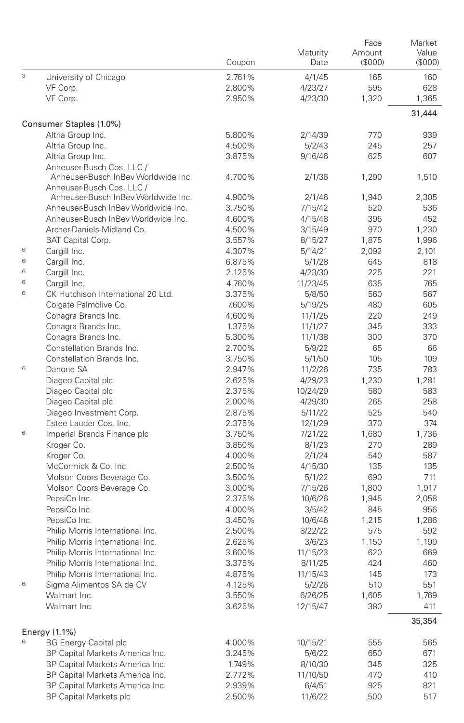|   |                                                                  | Coupon           | Maturity<br>Date   | Face<br>Amount<br>(S000) | Market<br>Value<br>(S000) |
|---|------------------------------------------------------------------|------------------|--------------------|--------------------------|---------------------------|
| 3 | University of Chicago                                            | 2.761%           | 4/1/45             | 165                      | 160                       |
|   | VF Corp.                                                         | 2.800%           | 4/23/27            | 595                      | 628                       |
|   | VF Corp.                                                         | 2.950%           | 4/23/30            | 1,320                    | 1,365                     |
|   |                                                                  |                  |                    |                          | 31,444                    |
|   | Consumer Staples (1.0%)                                          |                  |                    |                          |                           |
|   | Altria Group Inc.                                                | 5.800%           | 2/14/39            | 770                      | 939                       |
|   | Altria Group Inc.                                                | 4.500%<br>3.875% | 5/2/43             | 245<br>625               | 257<br>607                |
|   | Altria Group Inc.<br>Anheuser-Busch Cos. LLC /                   |                  | 9/16/46            |                          |                           |
|   | Anheuser-Busch InBev Worldwide Inc.<br>Anheuser-Busch Cos. LLC / | 4.700%           | 2/1/36             | 1,290                    | 1,510                     |
|   | Anheuser-Busch InBev Worldwide Inc.                              | 4.900%           | 2/1/46             | 1,940                    | 2,305                     |
|   | Anheuser-Busch InBev Worldwide Inc.                              | 3.750%           | 7/15/42            | 520                      | 536                       |
|   | Anheuser-Busch InBey Worldwide Inc.                              | 4.600%           | 4/15/48            | 395                      | 452                       |
|   | Archer-Daniels-Midland Co.                                       | 4.500%           | 3/15/49            | 970                      | 1,230                     |
|   | BAT Capital Corp.                                                | 3.557%           | 8/15/27            | 1,875                    | 1,996                     |
| 6 | Cargill Inc.                                                     | 4.307%           | 5/14/21            | 2,092                    | 2,101                     |
| 6 | Cargill Inc.                                                     | 6.875%           | 5/1/28             | 645                      | 818                       |
| 6 | Cargill Inc.                                                     | 2.125%           | 4/23/30            | 225                      | 221                       |
| 6 | Cargill Inc.                                                     | 4.760%           | 11/23/45           | 635                      | 765                       |
| 6 | CK Hutchison International 20 Ltd.                               | 3.375%           | 5/8/50             | 560                      | 567                       |
|   | Colgate Palmolive Co.                                            | 7.600%           | 5/19/25            | 480                      | 605                       |
|   | Conagra Brands Inc.                                              | 4.600%           | 11/1/25            | 220                      | 249                       |
|   | Conagra Brands Inc.                                              | 1.375%           | 11/1/27            | 345                      | 333                       |
|   | Conagra Brands Inc.                                              | 5.300%           | 11/1/38            | 300                      | 370                       |
|   | Constellation Brands Inc.                                        | 2.700%           | 5/9/22             | 65                       | 66                        |
|   | Constellation Brands Inc.                                        | 3.750%           | 5/1/50             | 105                      | 109                       |
| 6 | Danone SA                                                        | 2.947%           | 11/2/26            | 735                      | 783                       |
|   | Diageo Capital plc                                               | 2.625%           | 4/29/23            | 1,230                    | 1,281                     |
|   | Diageo Capital plc                                               | 2.375%           | 10/24/29           | 580                      | 583                       |
|   | Diageo Capital plc                                               | 2.000%           | 4/29/30            | 265                      | 258                       |
|   | Diageo Investment Corp.<br>Estee Lauder Cos. Inc.                | 2.875%<br>2.375% | 5/11/22            | 525<br>370               | 540<br>374                |
| 6 | Imperial Brands Finance plc                                      | 3.750%           | 12/1/29<br>7/21/22 | 1,680                    | 1,736                     |
|   | Kroger Co.                                                       | 3.850%           | 8/1/23             | 270                      | 289                       |
|   | Kroger Co.                                                       | 4.000%           | 2/1/24             | 540                      | 587                       |
|   | McCormick & Co. Inc.                                             | 2.500%           | 4/15/30            | 135                      | 135                       |
|   | Molson Coors Beverage Co.                                        | 3.500%           | 5/1/22             | 690                      | 711                       |
|   | Molson Coors Beverage Co.                                        | 3.000%           | 7/15/26            | 1,800                    | 1,917                     |
|   | PepsiCo Inc.                                                     | 2.375%           | 10/6/26            | 1,945                    | 2,058                     |
|   | PepsiCo Inc.                                                     | 4.000%           | 3/5/42             | 845                      | 956                       |
|   | PepsiCo Inc.                                                     | 3.450%           | 10/6/46            | 1,215                    | 1,286                     |
|   | Philip Morris International Inc.                                 | 2.500%           | 8/22/22            | 575                      | 592                       |
|   | Philip Morris International Inc.                                 | 2.625%           | 3/6/23             | 1,150                    | 1,199                     |
|   | Philip Morris International Inc.                                 | 3.600%           | 11/15/23           | 620                      | 669                       |
|   | Philip Morris International Inc.                                 | 3.375%           | 8/11/25            | 424                      | 460                       |
|   | Philip Morris International Inc.                                 | 4.875%           | 11/15/43           | 145                      | 173                       |
| 6 | Sigma Alimentos SA de CV                                         | 4.125%           | 5/2/26             | 510                      | 551                       |
|   | Walmart Inc.                                                     | 3.550%           | 6/26/25            | 1,605                    | 1,769                     |
|   | Walmart Inc.                                                     | 3.625%           | 12/15/47           | 380                      | 411                       |
|   | Energy (1.1%)                                                    |                  |                    |                          | 35,354                    |
| 6 | <b>BG Energy Capital plc</b>                                     | 4.000%           | 10/15/21           | 555                      | 565                       |
|   | BP Capital Markets America Inc.                                  | 3.245%           | 5/6/22             | 650                      | 671                       |
|   | BP Capital Markets America Inc.                                  | 1.749%           | 8/10/30            | 345                      | 325                       |
|   | BP Capital Markets America Inc.                                  | 2.772%           | 11/10/50           | 470                      | 410                       |
|   | BP Capital Markets America Inc.                                  | 2.939%           | 6/4/51             | 925                      | 821                       |
|   | <b>BP Capital Markets plc</b>                                    | 2.500%           | 11/6/22            | 500                      | 517                       |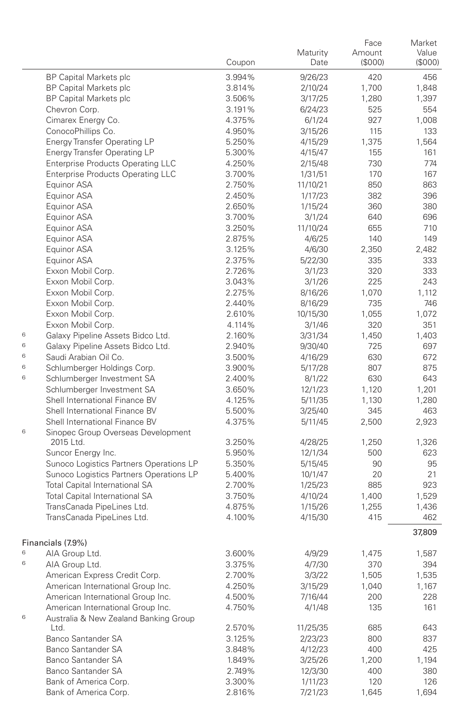|   |                                                                                    | Coupon           | Maturity<br>Date   | Face<br>Amount<br>(S000) | Market<br>Value<br>(S000) |
|---|------------------------------------------------------------------------------------|------------------|--------------------|--------------------------|---------------------------|
|   | <b>BP Capital Markets plc</b>                                                      | 3.994%           | 9/26/23            | 420                      | 456                       |
|   | <b>BP Capital Markets plc</b>                                                      | 3.814%           | 2/10/24            | 1,700                    | 1,848                     |
|   | <b>BP Capital Markets plc</b>                                                      | 3.506%           | 3/17/25            | 1,280                    | 1,397                     |
|   | Chevron Corp.                                                                      | 3.191%           | 6/24/23            | 525                      | 554                       |
|   | Cimarex Energy Co.                                                                 | 4.375%           | 6/1/24             | 927                      | 1,008                     |
|   | ConocoPhillips Co.                                                                 | 4.950%           | 3/15/26            | 115                      | 133                       |
|   | <b>Energy Transfer Operating LP</b>                                                | 5.250%           | 4/15/29            | 1,375                    | 1,564                     |
|   | <b>Energy Transfer Operating LP</b>                                                | 5.300%           | 4/15/47            | 155                      | 161                       |
|   | <b>Enterprise Products Operating LLC</b>                                           | 4.250%           | 2/15/48            | 730                      | 774                       |
|   | <b>Enterprise Products Operating LLC</b>                                           | 3.700%           | 1/31/51            | 170                      | 167                       |
|   | Equinor ASA                                                                        | 2.750%           | 11/10/21           | 850                      | 863                       |
|   | Equinor ASA                                                                        | 2.450%           | 1/17/23            | 382                      | 396                       |
|   | Equinor ASA                                                                        | 2.650%           | 1/15/24            | 360                      | 380                       |
|   | Equinor ASA                                                                        | 3.700%           | 3/1/24             | 640                      | 696                       |
|   | Equinor ASA                                                                        | 3.250%           | 11/10/24           | 655                      | 710                       |
|   | Equinor ASA                                                                        | 2.875%           | 4/6/25             | 140                      | 149                       |
|   | Equinor ASA                                                                        | 3.125%           | 4/6/30             | 2,350                    | 2,482                     |
|   | Equinor ASA                                                                        | 2.375%           | 5/22/30            | 335                      | 333                       |
|   | Exxon Mobil Corp.                                                                  | 2.726%           | 3/1/23             | 320                      | 333                       |
|   | Exxon Mobil Corp.                                                                  | 3.043%           | 3/1/26             | 225                      | 243                       |
|   | Exxon Mobil Corp.                                                                  | 2.275%           | 8/16/26            | 1,070                    | 1.112                     |
|   | Exxon Mobil Corp.                                                                  | 2.440%           | 8/16/29            | 735                      | 746                       |
|   | Exxon Mobil Corp.                                                                  | 2.610%           | 10/15/30           | 1,055                    | 1,072                     |
|   | Exxon Mobil Corp.                                                                  | 4.114%           | 3/1/46             | 320                      | 351                       |
| 6 | Galaxy Pipeline Assets Bidco Ltd.                                                  | 2.160%           | 3/31/34            | 1,450                    | 1,403                     |
| 6 | Galaxy Pipeline Assets Bidco Ltd.                                                  | 2.940%           | 9/30/40            | 725                      | 697                       |
| 6 | Saudi Arabian Oil Co.                                                              | 3.500%           | 4/16/29            | 630                      | 672                       |
| 6 | Schlumberger Holdings Corp.                                                        | 3.900%           | 5/17/28            | 807                      | 875                       |
| 6 | Schlumberger Investment SA                                                         | 2.400%           | 8/1/22             | 630                      | 643                       |
|   | Schlumberger Investment SA                                                         | 3.650%           | 12/1/23            | 1,120                    | 1,201                     |
|   | Shell International Finance BV                                                     | 4.125%           | 5/11/35            | 1,130                    | 1,280                     |
|   | Shell International Finance BV                                                     | 5.500%           | 3/25/40            | 345                      | 463                       |
|   | Shell International Finance BV                                                     | 4.375%           | 5/11/45            | 2,500                    | 2,923                     |
| 6 | Sinopec Group Overseas Development                                                 |                  |                    |                          |                           |
|   | 2015 Ltd.                                                                          | 3.250%           | 4/28/25            | 1,250                    | 1,326                     |
|   | Suncor Energy Inc.                                                                 | 5.950%           | 12/1/34            | 500                      | 623<br>95                 |
|   | Sunoco Logistics Partners Operations LP<br>Sunoco Logistics Partners Operations LP | 5.350%           | 5/15/45            | 90<br>20                 | 21                        |
|   | Total Capital International SA                                                     | 5.400%           | 10/1/47            | 885                      | 923                       |
|   | Total Capital International SA                                                     | 2.700%           | 1/25/23            | 1,400                    | 1,529                     |
|   | TransCanada PipeLines Ltd.                                                         | 3.750%<br>4.875% | 4/10/24<br>1/15/26 | 1,255                    | 1,436                     |
|   | TransCanada PipeLines Ltd.                                                         | 4.100%           | 4/15/30            | 415                      | 462                       |
|   |                                                                                    |                  |                    |                          | 37,809                    |
|   | Financials (7.9%)                                                                  |                  |                    |                          |                           |
| 6 | AIA Group Ltd.                                                                     | 3.600%           | 4/9/29             | 1,475                    | 1,587                     |
| 6 | AIA Group Ltd.                                                                     | 3.375%           | 4/7/30             | 370                      | 394                       |
|   | American Express Credit Corp.                                                      | 2.700%           | 3/3/22             | 1,505                    | 1,535                     |
|   | American International Group Inc.                                                  | 4.250%           | 3/15/29            | 1,040                    | 1,167                     |
|   | American International Group Inc.                                                  | 4.500%           | 7/16/44            | 200                      | 228                       |
|   | American International Group Inc.                                                  | 4.750%           | 4/1/48             | 135                      | 161                       |
| 6 | Australia & New Zealand Banking Group                                              |                  |                    |                          |                           |
|   | Ltd.                                                                               | 2.570%           | 11/25/35           | 685                      | 643                       |
|   | Banco Santander SA                                                                 | 3.125%           | 2/23/23            | 800                      | 837                       |
|   | Banco Santander SA                                                                 | 3.848%           | 4/12/23            | 400                      | 425                       |
|   | Banco Santander SA                                                                 | 1.849%           | 3/25/26            | 1,200                    | 1,194                     |
|   | Banco Santander SA                                                                 | 2.749%           | 12/3/30            | 400                      | 380                       |
|   | Bank of America Corp.                                                              | 3.300%           | 1/11/23            | 120                      | 126                       |
|   | Bank of America Corp.                                                              | 2.816%           | 7/21/23            | 1,645                    | 1,694                     |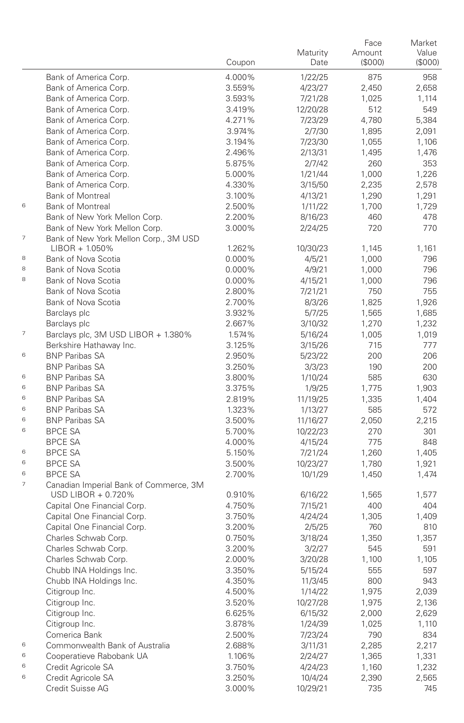|                |                                                              |                  | Maturity           | Face<br>Amount | Market<br>Value |
|----------------|--------------------------------------------------------------|------------------|--------------------|----------------|-----------------|
|                |                                                              | Coupon           | Date               | (S000)         | (S000)          |
|                | Bank of America Corp.                                        | 4.000%           | 1/22/25            | 875            | 958             |
|                | Bank of America Corp.                                        | 3.559%           | 4/23/27            | 2,450          | 2,658           |
|                | Bank of America Corp.                                        | 3.593%           | 7/21/28            | 1,025          | 1,114           |
|                | Bank of America Corp.                                        | 3.419%           | 12/20/28           | 512            | 549             |
|                | Bank of America Corp.                                        | 4.271%           | 7/23/29            | 4,780          | 5,384           |
|                | Bank of America Corp.                                        | 3.974%           | 2/7/30             | 1,895          | 2,091           |
|                | Bank of America Corp.                                        | 3.194%           | 7/23/30            | 1,055          | 1,106           |
|                | Bank of America Corp.                                        | 2.496%           | 2/13/31            | 1,495          | 1,476           |
|                | Bank of America Corp.                                        | 5.875%           | 2/7/42             | 260            | 353             |
|                | Bank of America Corp.                                        | 5.000%           | 1/21/44            | 1,000          | 1,226           |
|                | Bank of America Corp.                                        | 4.330%           | 3/15/50            | 2,235          | 2,578           |
|                | <b>Bank of Montreal</b>                                      | 3.100%           | 4/13/21            | 1,290          | 1,291           |
| 6              | <b>Bank of Montreal</b>                                      | 2.500%           | 1/11/22            | 1,700          | 1,729           |
|                | Bank of New York Mellon Corp.                                | 2.200%           | 8/16/23            | 460            | 478             |
|                | Bank of New York Mellon Corp.                                | 3.000%           | 2/24/25            | 720            | 770             |
| 7              | Bank of New York Mellon Corp., 3M USD                        |                  |                    |                |                 |
|                | $LIBOR + 1.050\%$                                            | 1.262%           | 10/30/23           | 1,145          | 1,161           |
| 8              | Bank of Nova Scotia                                          | 0.000%           | 4/5/21             | 1,000          | 796             |
| 8              | Bank of Nova Scotia                                          | 0.000%           | 4/9/21             | 1,000          | 796             |
| 8              | Bank of Nova Scotia                                          | 0.000%           | 4/15/21            | 1,000          | 796             |
|                | Bank of Nova Scotia                                          | 2.800%           | 7/21/21            | 750            | 755             |
|                | Bank of Nova Scotia                                          | 2.700%           | 8/3/26             | 1,825          | 1,926           |
|                | Barclays plc                                                 | 3.932%           | 5/7/25             | 1,565          | 1,685           |
|                | Barclays plc                                                 | 2.667%           | 3/10/32            | 1,270          | 1,232           |
| $\overline{7}$ | Barclays plc, 3M USD LIBOR + 1.380%                          | 1.574%           | 5/16/24            | 1,005          | 1,019           |
|                | Berkshire Hathaway Inc.                                      | 3.125%           | 3/15/26            | 715            | 777             |
| 6              | <b>BNP Paribas SA</b>                                        | 2.950%           | 5/23/22            | 200            | 206             |
|                | <b>BNP Paribas SA</b>                                        | 3.250%           | 3/3/23             | 190            | 200             |
| 6              | <b>BNP Paribas SA</b>                                        | 3.800%           | 1/10/24            | 585            | 630             |
| 6              | <b>BNP Paribas SA</b>                                        | 3.375%           | 1/9/25             | 1,775          | 1,903           |
| 6              | <b>BNP Paribas SA</b>                                        | 2.819%           | 11/19/25           | 1,335          | 1,404           |
| 6              | <b>BNP Paribas SA</b>                                        | 1.323%           | 1/13/27            | 585            | 572             |
| 6              | <b>BNP Paribas SA</b>                                        | 3.500%           | 11/16/27           | 2,050          | 2,215           |
| 6              | <b>BPCE SA</b>                                               | 5.700%           | 10/22/23           | 270            | 301             |
|                | <b>BPCE SA</b>                                               | 4.000%           | 4/15/24            | 775            | 848             |
| 6              | <b>BPCE SA</b>                                               | 5.150%           | 7/21/24            | 1,260          | 1,405           |
| 6              | <b>BPCE SA</b>                                               | 3.500%           | 10/23/27           | 1,780          | 1,921           |
| 6<br>7         | <b>BPCE SA</b>                                               | 2.700%           | 10/1/29            | 1,450          | 1,474           |
|                | Canadian Imperial Bank of Commerce, 3M<br>USD LIBOR + 0.720% |                  |                    |                |                 |
|                | Capital One Financial Corp.                                  | 0.910%<br>4.750% | 6/16/22            | 1,565<br>400   | 1,577<br>404    |
|                | Capital One Financial Corp.                                  | 3.750%           | 7/15/21            |                | 1,409           |
|                | Capital One Financial Corp.                                  | 3.200%           | 4/24/24            | 1,305<br>760   | 810             |
|                | Charles Schwab Corp.                                         | 0.750%           | 2/5/25<br>3/18/24  | 1,350          | 1,357           |
|                | Charles Schwab Corp.                                         | 3.200%           |                    | 545            | 591             |
|                | Charles Schwab Corp.                                         | 2.000%           | 3/2/27             |                |                 |
|                | Chubb INA Holdings Inc.                                      | 3.350%           | 3/20/28            | 1,100<br>555   | 1,105<br>597    |
|                |                                                              | 4.350%           | 5/15/24            |                |                 |
|                | Chubb INA Holdings Inc.<br>Citigroup Inc.                    | 4.500%           | 11/3/45<br>1/14/22 | 800<br>1,975   | 943<br>2,039    |
|                | Citigroup Inc.                                               | 3.520%           | 10/27/28           | 1,975          | 2,136           |
|                | Citigroup Inc.                                               | 6.625%           | 6/15/32            | 2,000          | 2,629           |
|                | Citigroup Inc.                                               | 3.878%           | 1/24/39            | 1,025          | 1,110           |
|                | Comerica Bank                                                | 2.500%           | 7/23/24            | 790            | 834             |
| 6              | Commonwealth Bank of Australia                               | 2.688%           | 3/11/31            | 2,285          | 2,217           |
| 6              | Cooperatieve Rabobank UA                                     | 1.106%           | 2/24/27            | 1,365          | 1,331           |
| 6              | Credit Agricole SA                                           | 3.750%           | 4/24/23            | 1,160          | 1,232           |
| 6              | Credit Agricole SA                                           | 3.250%           | 10/4/24            | 2,390          | 2,565           |
|                | Credit Suisse AG                                             | 3.000%           | 10/29/21           | 735            | 745             |
|                |                                                              |                  |                    |                |                 |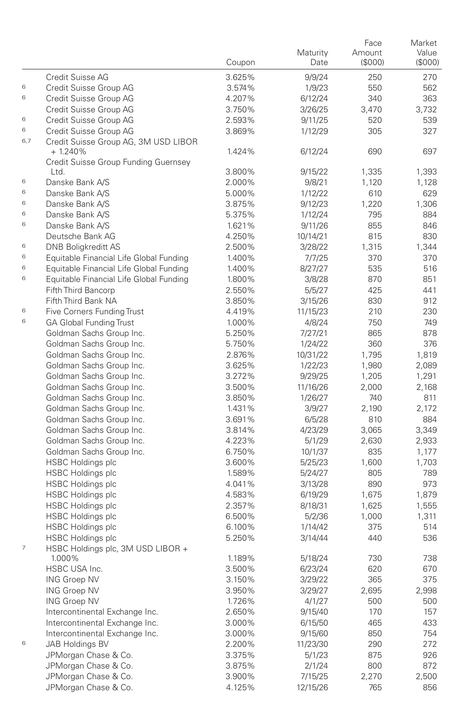|     |                                                   | Coupon | Maturity<br>Date | Face<br>Amount<br>(\$000) | Market<br>Value<br>(S000) |
|-----|---------------------------------------------------|--------|------------------|---------------------------|---------------------------|
|     | Credit Suisse AG                                  | 3.625% | 9/9/24           | 250                       | 270                       |
| 6   | Credit Suisse Group AG                            | 3.574% | 1/9/23           | 550                       | 562                       |
| 6   | Credit Suisse Group AG                            | 4.207% | 6/12/24          | 340                       | 363                       |
|     | Credit Suisse Group AG                            | 3.750% | 3/26/25          | 3,470                     | 3,732                     |
| 6   | Credit Suisse Group AG                            | 2.593% | 9/11/25          | 520                       | 539                       |
| 6   | Credit Suisse Group AG                            | 3.869% | 1/12/29          | 305                       | 327                       |
| 6,7 | Credit Suisse Group AG, 3M USD LIBOR<br>$+1.240%$ | 1.424% | 6/12/24          | 690                       | 697                       |
|     | Credit Suisse Group Funding Guernsey<br>Ltd.      | 3.800% | 9/15/22          | 1,335                     | 1,393                     |
| 6   | Danske Bank A/S                                   | 2.000% | 9/8/21           | 1,120                     | 1.128                     |
| 6   | Danske Bank A/S                                   | 5.000% | 1/12/22          | 610                       | 629                       |
| 6   | Danske Bank A/S                                   | 3.875% | 9/12/23          | 1,220                     | 1,306                     |
| 6   | Danske Bank A/S                                   | 5.375% | 1/12/24          | 795                       | 884                       |
| 6   | Danske Bank A/S                                   | 1.621% | 9/11/26          | 855                       | 846                       |
|     | Deutsche Bank AG                                  | 4.250% | 10/14/21         | 815                       | 830                       |
| 6   | <b>DNB Boligkreditt AS</b>                        | 2.500% | 3/28/22          | 1,315                     | 1,344                     |
| 6   | Equitable Financial Life Global Funding           | 1.400% | 7/7/25           | 370                       | 370                       |
| 6   | Equitable Financial Life Global Funding           | 1.400% | 8/27/27          | 535                       | 516                       |
| 6   | Equitable Financial Life Global Funding           | 1.800% | 3/8/28           | 870                       | 851                       |
|     | Fifth Third Bancorp                               | 2.550% | 5/5/27           | 425                       | 441                       |
|     | Fifth Third Bank NA                               | 3.850% | 3/15/26          | 830                       | 912                       |
| 6   | Five Corners Funding Trust                        | 4.419% | 11/15/23         | 210                       | 230                       |
| 6   | <b>GA Global Funding Trust</b>                    | 1.000% | 4/8/24           | 750                       | 749                       |
|     | Goldman Sachs Group Inc.                          | 5.250% | 7/27/21          | 865                       | 878                       |
|     | Goldman Sachs Group Inc.                          | 5.750% | 1/24/22          | 360                       | 376                       |
|     | Goldman Sachs Group Inc.                          | 2.876% | 10/31/22         | 1,795                     | 1,819                     |
|     | Goldman Sachs Group Inc.                          | 3.625% | 1/22/23          | 1,980                     | 2,089                     |
|     | Goldman Sachs Group Inc.                          | 3.272% | 9/29/25          | 1,205                     | 1,291                     |
|     | Goldman Sachs Group Inc.                          | 3.500% | 11/16/26         | 2,000                     | 2,168                     |
|     | Goldman Sachs Group Inc.                          | 3.850% | 1/26/27          | 740                       | 811                       |
|     | Goldman Sachs Group Inc.                          | 1.431% | 3/9/27           | 2,190                     | 2,172                     |
|     | Goldman Sachs Group Inc.                          | 3.691% | 6/5/28           | 810                       | 884                       |
|     | Goldman Sachs Group Inc.                          | 3.814% | 4/23/29          | 3,065                     | 3,349                     |
|     | Goldman Sachs Group Inc.                          | 4.223% | 5/1/29           | 2,630                     | 2,933                     |
|     | Goldman Sachs Group Inc.                          | 6.750% | 10/1/37          | 835                       | 1,177                     |
|     | <b>HSBC Holdings plc</b>                          | 3.600% | 5/25/23          | 1,600                     | 1,703                     |
|     | <b>HSBC Holdings plc</b>                          | 1.589% | 5/24/27          | 805                       | 789                       |
|     | <b>HSBC Holdings plc</b>                          | 4.041% | 3/13/28          | 890                       | 973                       |
|     | <b>HSBC Holdings plc</b>                          | 4.583% | 6/19/29          | 1,675                     | 1,879                     |
|     | <b>HSBC Holdings plc</b>                          | 2.357% | 8/18/31          | 1,625                     | 1,555                     |
|     | <b>HSBC Holdings plc</b>                          | 6.500% | 5/2/36           | 1,000                     | 1,311                     |
|     | <b>HSBC Holdings plc</b>                          | 6.100% | 1/14/42          | 375                       | 514                       |
|     | <b>HSBC Holdings plc</b>                          | 5.250% | 3/14/44          | 440                       | 536                       |
| 7   | HSBC Holdings plc, 3M USD LIBOR +<br>1.000%       | 1.189% | 5/18/24          | 730                       | 738                       |
|     | HSBC USA Inc.                                     | 3.500% | 6/23/24          | 620                       | 670                       |
|     | <b>ING Groep NV</b>                               | 3.150% | 3/29/22          | 365                       | 375                       |
|     | <b>ING Groep NV</b>                               | 3.950% | 3/29/27          | 2,695                     | 2,998                     |
|     | <b>ING Groep NV</b>                               | 1.726% | 4/1/27           | 500                       | 500                       |
|     | Intercontinental Exchange Inc.                    | 2.650% | 9/15/40          | 170                       | 157                       |
|     | Intercontinental Exchange Inc.                    | 3.000% | 6/15/50          | 465                       | 433                       |
|     | Intercontinental Exchange Inc.                    | 3.000% | 9/15/60          | 850                       | 754                       |
| 6   | JAB Holdings BV                                   | 2.200% | 11/23/30         | 290                       | 272                       |
|     | JPMorgan Chase & Co.                              | 3.375% | 5/1/23           | 875                       | 926                       |
|     | JPMorgan Chase & Co.                              | 3.875% | 2/1/24           | 800                       | 872                       |
|     | JPMorgan Chase & Co.                              | 3.900% | 7/15/25          | 2,270                     | 2,500                     |
|     | JPMorgan Chase & Co.                              | 4.125% | 12/15/26         | 765                       | 856                       |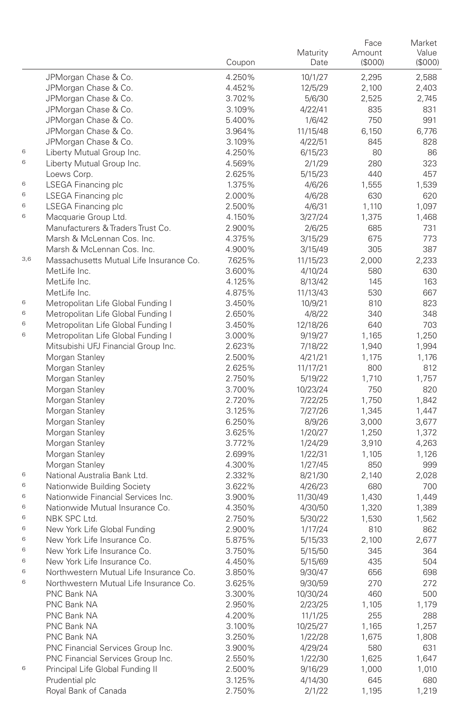|     |                                         |        |          | Face    | Market |
|-----|-----------------------------------------|--------|----------|---------|--------|
|     |                                         |        | Maturity | Amount  | Value  |
|     |                                         | Coupon | Date     | (\$000) | (S000) |
|     | JPMorgan Chase & Co.                    | 4.250% | 10/1/27  | 2,295   | 2,588  |
|     | JPMorgan Chase & Co.                    | 4.452% | 12/5/29  | 2,100   | 2,403  |
|     | JPMorgan Chase & Co.                    | 3.702% | 5/6/30   | 2,525   | 2,745  |
|     | JPMorgan Chase & Co.                    | 3.109% | 4/22/41  | 835     | 831    |
|     | JPMorgan Chase & Co.                    | 5.400% | 1/6/42   | 750     | 991    |
|     | JPMorgan Chase & Co.                    | 3.964% | 11/15/48 | 6,150   | 6,776  |
|     | JPMorgan Chase & Co.                    | 3.109% | 4/22/51  | 845     | 828    |
| 6   | Liberty Mutual Group Inc.               | 4.250% | 6/15/23  | 80      | 86     |
| 6   | Liberty Mutual Group Inc.               | 4.569% | 2/1/29   | 280     | 323    |
|     | Loews Corp.                             | 2.625% | 5/15/23  | 440     | 457    |
| 6   | LSEGA Financing plc                     | 1.375% | 4/6/26   | 1,555   | 1,539  |
| 6   | LSEGA Financing plc                     | 2.000% | 4/6/28   | 630     | 620    |
| 6   | LSEGA Financing plc                     | 2.500% | 4/6/31   | 1,110   | 1,097  |
| 6   | Macquarie Group Ltd.                    | 4.150% | 3/27/24  | 1,375   | 1,468  |
|     | Manufacturers & Traders Trust Co.       | 2.900% | 2/6/25   | 685     | 731    |
|     | Marsh & McLennan Cos. Inc.              | 4.375% | 3/15/29  | 675     | 773    |
|     | Marsh & McLennan Cos. Inc.              | 4.900% | 3/15/49  | 305     | 387    |
| 3,6 | Massachusetts Mutual Life Insurance Co. | 7.625% | 11/15/23 | 2,000   | 2,233  |
|     | MetLife Inc.                            | 3.600% | 4/10/24  | 580     | 630    |
|     | MetLife Inc.                            | 4.125% | 8/13/42  | 145     | 163    |
|     | MetLife Inc.                            | 4.875% | 11/13/43 | 530     | 667    |
| 6   | Metropolitan Life Global Funding I      | 3.450% | 10/9/21  | 810     | 823    |
| 6   | Metropolitan Life Global Funding I      | 2.650% | 4/8/22   | 340     | 348    |
| 6   | Metropolitan Life Global Funding I      | 3.450% | 12/18/26 | 640     | 703    |
| 6   | Metropolitan Life Global Funding I      | 3.000% | 9/19/27  | 1,165   | 1.250  |
|     | Mitsubishi UFJ Financial Group Inc.     | 2.623% | 7/18/22  | 1,940   | 1,994  |
|     | Morgan Stanley                          | 2.500% | 4/21/21  | 1,175   | 1,176  |
|     | Morgan Stanley                          | 2.625% | 11/17/21 | 800     | 812    |
|     | Morgan Stanley                          | 2.750% | 5/19/22  | 1,710   | 1,757  |
|     | Morgan Stanley                          | 3.700% | 10/23/24 | 750     | 820    |
|     | Morgan Stanley                          | 2.720% | 7/22/25  | 1,750   | 1,842  |
|     | Morgan Stanley                          | 3.125% | 7/27/26  | 1,345   | 1,447  |
|     | Morgan Stanley                          | 6.250% | 8/9/26   | 3,000   | 3,677  |
|     | Morgan Stanley                          | 3.625% | 1/20/27  | 1,250   | 1,372  |
|     | Morgan Stanley                          | 3.772% | 1/24/29  | 3,910   | 4,263  |
|     | Morgan Stanley                          | 2.699% | 1/22/31  | 1,105   | 1,126  |
|     | Morgan Stanley                          | 4.300% | 1/27/45  | 850     | 999    |
| 6   | National Australia Bank Ltd.            | 2.332% | 8/21/30  | 2,140   | 2,028  |
| 6   | Nationwide Building Society             | 3.622% | 4/26/23  | 680     | 700    |
| 6   | Nationwide Financial Services Inc.      | 3.900% | 11/30/49 | 1,430   | 1,449  |
| 6   | Nationwide Mutual Insurance Co.         | 4.350% | 4/30/50  | 1,320   | 1,389  |
| 6   | NBK SPC Ltd.                            | 2.750% | 5/30/22  | 1,530   | 1,562  |
| 6   | New York Life Global Funding            | 2.900% | 1/17/24  | 810     | 862    |
| 6   | New York Life Insurance Co.             | 5.875% | 5/15/33  | 2,100   | 2,677  |
| 6   | New York Life Insurance Co.             | 3.750% | 5/15/50  | 345     | 364    |
| 6   | New York Life Insurance Co.             | 4.450% | 5/15/69  | 435     | 504    |
| 6   | Northwestern Mutual Life Insurance Co.  | 3.850% | 9/30/47  | 656     | 698    |
| 6   | Northwestern Mutual Life Insurance Co.  | 3.625% | 9/30/59  | 270     | 272    |
|     | PNC Bank NA                             | 3.300% | 10/30/24 | 460     | 500    |
|     | PNC Bank NA                             | 2.950% | 2/23/25  | 1,105   | 1,179  |
|     | PNC Bank NA                             | 4.200% | 11/1/25  | 255     | 288    |
|     | PNC Bank NA                             | 3.100% | 10/25/27 | 1,165   | 1,257  |
|     | PNC Bank NA                             | 3.250% | 1/22/28  | 1,675   | 1,808  |
|     | PNC Financial Services Group Inc.       | 3.900% | 4/29/24  | 580     | 631    |
|     | PNC Financial Services Group Inc.       | 2.550% | 1/22/30  | 1,625   | 1,647  |
| 6   | Principal Life Global Funding II        | 2.500% | 9/16/29  | 1,000   | 1,010  |
|     | Prudential plc                          | 3.125% | 4/14/30  | 645     | 680    |
|     | Royal Bank of Canada                    | 2.750% | 2/1/22   | 1,195   | 1,219  |
|     |                                         |        |          |         |        |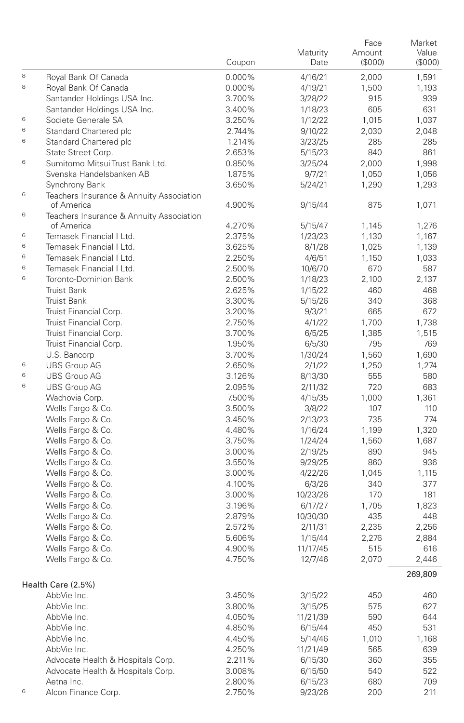|        |                                                        | Coupon           | Maturity<br>Date   | Face<br>Amount<br>(\$000) | Market<br>Value<br>(S000) |
|--------|--------------------------------------------------------|------------------|--------------------|---------------------------|---------------------------|
| 8      | Royal Bank Of Canada                                   | 0.000%           | 4/16/21            | 2,000                     | 1,591                     |
| 8      | Royal Bank Of Canada                                   | 0.000%           | 4/19/21            | 1,500                     | 1,193                     |
|        | Santander Holdings USA Inc.                            | 3.700%           | 3/28/22            | 915                       | 939                       |
|        | Santander Holdings USA Inc.                            | 3.400%           | 1/18/23            | 605                       | 631                       |
| 6      | Societe Generale SA                                    | 3.250%           | 1/12/22            | 1,015                     | 1,037                     |
| 6      | Standard Chartered plc                                 | 2.744%           | 9/10/22            | 2,030                     | 2,048                     |
| 6      | Standard Chartered plc                                 | 1.214%           | 3/23/25            | 285                       | 285                       |
|        | State Street Corp.                                     | 2.653%           | 5/15/23            | 840                       | 861                       |
| 6      | Sumitomo Mitsui Trust Bank Ltd.                        | 0.850%           | 3/25/24            | 2,000                     | 1,998                     |
|        | Svenska Handelsbanken AB                               | 1.875%           | 9/7/21             | 1,050                     | 1,056                     |
|        | Synchrony Bank                                         | 3.650%           | 5/24/21            | 1,290                     | 1,293                     |
| 6      | Teachers Insurance & Annuity Association<br>of America | 4.900%           | 9/15/44            | 875                       | 1,071                     |
| 6      | Teachers Insurance & Annuity Association               |                  |                    |                           |                           |
|        | of America                                             | 4.270%           | 5/15/47            | 1,145                     | 1,276                     |
| 6<br>6 | Temasek Financial I Ltd.<br>Temasek Financial I Ltd.   | 2.375%           | 1/23/23            | 1,130                     | 1,167                     |
| 6      | Temasek Financial I Ltd.                               | 3.625%           | 8/1/28             | 1,025                     | 1,139                     |
| 6      | Temasek Financial I Ltd.                               | 2.250%           | 4/6/51             | 1,150                     | 1,033                     |
| 6      | Toronto-Dominion Bank                                  | 2.500%<br>2.500% | 10/6/70<br>1/18/23 | 670<br>2,100              | 587<br>2,137              |
|        | <b>Truist Bank</b>                                     | 2.625%           | 1/15/22            | 460                       | 468                       |
|        | <b>Truist Bank</b>                                     | 3.300%           | 5/15/26            | 340                       | 368                       |
|        | Truist Financial Corp.                                 | 3.200%           | 9/3/21             | 665                       | 672                       |
|        | Truist Financial Corp.                                 | 2.750%           | 4/1/22             | 1,700                     | 1,738                     |
|        | Truist Financial Corp.                                 | 3.700%           | 6/5/25             | 1,385                     | 1,515                     |
|        | Truist Financial Corp.                                 | 1.950%           | 6/5/30             | 795                       | 769                       |
|        | U.S. Bancorp                                           | 3.700%           | 1/30/24            | 1,560                     | 1,690                     |
| 6      | <b>UBS Group AG</b>                                    | 2.650%           | 2/1/22             | 1,250                     | 1,274                     |
| 6      | <b>UBS Group AG</b>                                    | 3.126%           | 8/13/30            | 555                       | 580                       |
| 6      | <b>UBS Group AG</b>                                    | 2.095%           | 2/11/32            | 720                       | 683                       |
|        | Wachovia Corp.                                         | 7.500%           | 4/15/35            | 1,000                     | 1,361                     |
|        | Wells Fargo & Co.                                      | 3.500%           | 3/8/22             | 107                       | 110                       |
|        | Wells Fargo & Co.                                      | 3.450%           | 2/13/23            | 735                       | 774                       |
|        | Wells Fargo & Co.                                      | 4.480%           | 1/16/24            | 1,199                     | 1,320                     |
|        | Wells Fargo & Co.                                      | 3.750%           | 1/24/24            | 1,560                     | 1,687                     |
|        | Wells Fargo & Co.                                      | 3.000%           | 2/19/25            | 890                       | 945                       |
|        | Wells Fargo & Co.                                      | 3.550%           | 9/29/25            | 860                       | 936                       |
|        | Wells Fargo & Co.                                      | 3.000%           | 4/22/26            | 1,045                     | 1,115                     |
|        | Wells Fargo & Co.                                      | 4.100%           | 6/3/26             | 340                       | 377                       |
|        | Wells Fargo & Co.                                      | 3.000%           | 10/23/26           | 170                       | 181                       |
|        | Wells Fargo & Co.                                      | 3.196%           | 6/17/27            | 1,705                     | 1,823                     |
|        | Wells Fargo & Co.                                      | 2.879%           | 10/30/30           | 435                       | 448                       |
|        | Wells Fargo & Co.                                      | 2.572%           | 2/11/31            | 2,235                     | 2,256                     |
|        | Wells Fargo & Co.                                      | 5.606%           | 1/15/44            | 2,276                     | 2,884                     |
|        | Wells Fargo & Co.                                      | 4.900%           | 11/17/45           | 515                       | 616                       |
|        | Wells Fargo & Co.                                      | 4.750%           | 12/7/46            | 2.070                     | 2,446                     |
|        | Health Care (2.5%)                                     |                  |                    |                           | 269,809                   |
|        | AbbVie Inc.                                            | 3.450%           | 3/15/22            | 450                       | 460                       |
|        | AbbVie Inc.                                            | 3.800%           | 3/15/25            | 575                       | 627                       |
|        | AbbVie Inc.                                            | 4.050%           | 11/21/39           | 590                       | 644                       |
|        | AbbVie Inc.                                            | 4.850%           | 6/15/44            | 450                       | 531                       |
|        | AbbVie Inc.                                            | 4.450%           | 5/14/46            | 1,010                     | 1,168                     |
|        | AbbVie Inc.                                            | 4.250%           | 11/21/49           | 565                       | 639                       |
|        | Advocate Health & Hospitals Corp.                      | 2.211%           | 6/15/30            | 360                       | 355                       |
|        | Advocate Health & Hospitals Corp.                      | 3.008%           | 6/15/50            | 540                       | 522                       |
| 6      | Aetna Inc.<br>Alcon Finance Corp.                      | 2.800%           | 6/15/23            | 680                       | 709                       |
|        |                                                        | 2.750%           | 9/23/26            | 200                       | 211                       |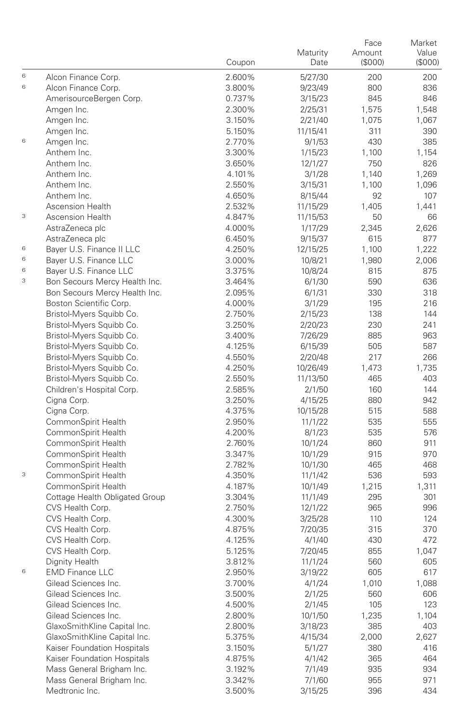|   |                                                      | Coupon           | Maturity<br>Date    | Face<br>Amount<br>(\$000) | Market<br>Value<br>(S000) |
|---|------------------------------------------------------|------------------|---------------------|---------------------------|---------------------------|
| 6 | Alcon Finance Corp.                                  | 2.600%           | 5/27/30             | 200                       | 200                       |
| 6 | Alcon Finance Corp.                                  | 3.800%           | 9/23/49             | 800                       | 836                       |
|   | AmerisourceBergen Corp.                              | 0.737%           | 3/15/23             | 845                       | 846                       |
|   | Amgen Inc.                                           | 2.300%           | 2/25/31             | 1,575                     | 1,548                     |
|   | Amgen Inc.                                           | 3.150%           | 2/21/40             | 1,075                     | 1,067                     |
|   | Amgen Inc.                                           | 5.150%           | 11/15/41            | 311                       | 390                       |
| 6 | Amgen Inc.                                           | 2.770%           | 9/1/53              | 430                       | 385                       |
|   | Anthem Inc.                                          | 3.300%           | 1/15/23             | 1,100                     | 1,154                     |
|   | Anthem Inc.                                          | 3.650%           | 12/1/27             | 750                       | 826                       |
|   | Anthem Inc.                                          | 4.101%           | 3/1/28              | 1,140                     | 1,269                     |
|   | Anthem Inc.                                          | 2.550%           | 3/15/31             | 1,100                     | 1,096                     |
|   | Anthem Inc.                                          | 4.650%           | 8/15/44             | 92                        | 107                       |
|   | <b>Ascension Health</b>                              | 2.532%           | 11/15/29            | 1,405                     | 1,441                     |
| 3 | <b>Ascension Health</b>                              | 4.847%           | 11/15/53            | 50                        | 66                        |
|   | AstraZeneca plc                                      | 4.000%           | 1/17/29             | 2,345                     | 2,626                     |
|   | AstraZeneca plc                                      | 6.450%           | 9/15/37             | 615                       | 877                       |
| 6 | Bayer U.S. Finance II LLC                            | 4.250%           | 12/15/25            | 1,100                     | 1,222                     |
| 6 | Bayer U.S. Finance LLC                               | 3.000%           | 10/8/21             | 1,980                     | 2,006                     |
| 6 | Bayer U.S. Finance LLC                               | 3.375%           | 10/8/24             | 815                       | 875                       |
| 3 | Bon Secours Mercy Health Inc.                        | 3.464%           | 6/1/30              | 590                       | 636                       |
|   | Bon Secours Mercy Health Inc.                        | 2.095%           | 6/1/31              | 330                       | 318                       |
|   | Boston Scientific Corp.                              | 4.000%           | 3/1/29              | 195                       | 216                       |
|   | Bristol-Myers Squibb Co.                             | 2.750%           | 2/15/23             | 138                       | 144                       |
|   | Bristol-Myers Squibb Co.<br>Bristol-Myers Squibb Co. | 3.250%<br>3.400% | 2/20/23             | 230                       | 241                       |
|   |                                                      |                  | 7/26/29             | 885                       | 963<br>587                |
|   | Bristol-Myers Squibb Co.<br>Bristol-Myers Squibb Co. | 4.125%           | 6/15/39             | 505<br>217                | 266                       |
|   | Bristol-Myers Squibb Co.                             | 4.550%<br>4.250% | 2/20/48<br>10/26/49 | 1,473                     | 1,735                     |
|   | Bristol-Myers Squibb Co.                             | 2.550%           | 11/13/50            | 465                       | 403                       |
|   | Children's Hospital Corp.                            | 2.585%           | 2/1/50              | 160                       | 144                       |
|   | Cigna Corp.                                          | 3.250%           | 4/15/25             | 880                       | 942                       |
|   | Cigna Corp.                                          | 4.375%           | 10/15/28            | 515                       | 588                       |
|   | CommonSpirit Health                                  | 2.950%           | 11/1/22             | 535                       | 555                       |
|   | CommonSpirit Health                                  | 4.200%           | 8/1/23              | 535                       | 576                       |
|   | CommonSpirit Health                                  | 2.760%           | 10/1/24             | 860                       | 911                       |
|   | CommonSpirit Health                                  | 3.347%           | 10/1/29             | 915                       | 970                       |
|   | CommonSpirit Health                                  | 2.782%           | 10/1/30             | 465                       | 468                       |
| 3 | CommonSpirit Health                                  | 4.350%           | 11/1/42             | 536                       | 593                       |
|   | CommonSpirit Health                                  | 4.187%           | 10/1/49             | 1,215                     | 1,311                     |
|   | Cottage Health Obligated Group                       | 3.304%           | 11/1/49             | 295                       | 301                       |
|   | CVS Health Corp.                                     | 2.750%           | 12/1/22             | 965                       | 996                       |
|   | CVS Health Corp.                                     | 4.300%           | 3/25/28             | 110                       | 124                       |
|   | CVS Health Corp.                                     | 4.875%           | 7/20/35             | 315                       | 370                       |
|   | CVS Health Corp.                                     | 4.125%           | 4/1/40              | 430                       | 472                       |
|   | CVS Health Corp.                                     | 5.125%           | 7/20/45             | 855                       | 1,047                     |
|   | Dignity Health                                       | 3.812%           | 11/1/24             | 560                       | 605                       |
| 6 | <b>EMD Finance LLC</b>                               | 2.950%           | 3/19/22             | 605                       | 617                       |
|   | Gilead Sciences Inc.                                 | 3.700%           | 4/1/24              | 1,010                     | 1,088                     |
|   | Gilead Sciences Inc.                                 | 3.500%           | 2/1/25              | 560                       | 606                       |
|   | Gilead Sciences Inc.                                 | 4.500%           | 2/1/45              | 105                       | 123                       |
|   | Gilead Sciences Inc.                                 | 2.800%           | 10/1/50             | 1,235                     | 1,104                     |
|   | GlaxoSmithKline Capital Inc.                         | 2.800%           | 3/18/23             | 385                       | 403                       |
|   | GlaxoSmithKline Capital Inc.                         | 5.375%           | 4/15/34             | 2,000                     | 2,627                     |
|   | Kaiser Foundation Hospitals                          | 3.150%           | 5/1/27              | 380                       | 416                       |
|   | Kaiser Foundation Hospitals                          | 4.875%           | 4/1/42              | 365                       | 464                       |
|   | Mass General Brigham Inc.                            | 3.192%           | 7/1/49              | 935                       | 934                       |
|   | Mass General Brigham Inc.                            | 3.342%           | 7/1/60              | 955                       | 971                       |
|   | Medtronic Inc.                                       | 3.500%           | 3/15/25             | 396                       | 434                       |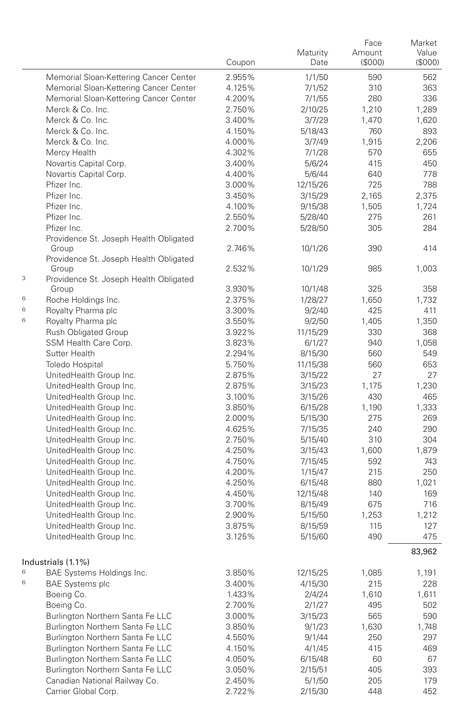|   |                                                    | Coupon           | Maturity<br>Date    | Face<br>Amount<br>(\$000) | Market<br>Value<br>(000) |
|---|----------------------------------------------------|------------------|---------------------|---------------------------|--------------------------|
|   | Memorial Sloan-Kettering Cancer Center             | 2.955%           | 1/1/50              | 590                       | 562                      |
|   | Memorial Sloan-Kettering Cancer Center             | 4.125%           | 7/1/52              | 310                       | 363                      |
|   | Memorial Sloan-Kettering Cancer Center             | 4.200%           | 7/1/55              | 280                       | 336                      |
|   | Merck & Co. Inc.                                   | 2.750%           | 2/10/25             | 1,210                     | 1,289                    |
|   | Merck & Co. Inc.                                   | 3.400%           | 3/7/29              | 1,470                     | 1.620                    |
|   | Merck & Co. Inc.                                   | 4.150%           | 5/18/43             | 760                       | 893                      |
|   | Merck & Co. Inc.                                   | 4.000%           | 3/7/49              | 1,915                     | 2,206                    |
|   | Mercy Health                                       | 4.302%           | 7/1/28              | 570                       | 655                      |
|   | Novartis Capital Corp.                             | 3.400%           | 5/6/24              | 415                       | 450                      |
|   | Novartis Capital Corp.                             | 4.400%           | 5/6/44              | 640                       | 778                      |
|   | Pfizer Inc.                                        | 3.000%           | 12/15/26            | 725                       | 788                      |
|   | Pfizer Inc.                                        | 3.450%           | 3/15/29             | 2,165                     | 2,375                    |
|   | Pfizer Inc.                                        | 4.100%           | 9/15/38             | 1,505                     | 1,724                    |
|   | Pfizer Inc.                                        | 2.550%           | 5/28/40             | 275                       | 261                      |
|   | Pfizer Inc.                                        | 2.700%           | 5/28/50             | 305                       | 284                      |
|   | Providence St. Joseph Health Obligated<br>Group    | 2.746%           | 10/1/26             | 390                       | 414                      |
|   | Providence St. Joseph Health Obligated             |                  |                     |                           |                          |
| 3 | Group<br>Providence St. Joseph Health Obligated    | 2.532%           | 10/1/29             | 985                       | 1,003                    |
|   | Group                                              | 3.930%           | 10/1/48             | 325                       | 358                      |
| 6 | Roche Holdings Inc.                                | 2.375%           | 1/28/27             | 1,650                     | 1,732                    |
| 6 | Royalty Pharma plc                                 | 3.300%           | 9/2/40              | 425                       | 411                      |
| 6 | Royalty Pharma plc                                 | 3.550%           | 9/2/50              | 1,405                     | 1,350                    |
|   | <b>Rush Obligated Group</b>                        | 3.922%           | 11/15/29            | 330                       | 368                      |
|   | SSM Health Care Corp.                              | 3.823%           | 6/1/27              | 940                       | 1,058                    |
|   | Sutter Health                                      | 2.294%           | 8/15/30             | 560                       | 549                      |
|   | <b>Toledo Hospital</b>                             | 5.750%           | 11/15/38            | 560                       | 653                      |
|   | UnitedHealth Group Inc.                            | 2.875%           | 3/15/22             | 27                        | 27                       |
|   | UnitedHealth Group Inc.                            | 2.875%           | 3/15/23             | 1,175                     | 1.230                    |
|   | UnitedHealth Group Inc.                            | 3.100%           | 3/15/26             | 430                       | 465                      |
|   | UnitedHealth Group Inc.                            | 3.850%           | 6/15/28             | 1,190                     | 1,333                    |
|   | UnitedHealth Group Inc.                            | 2.000%           | 5/15/30             | 275                       | 269                      |
|   | UnitedHealth Group Inc.                            | 4.625%           | 7/15/35             | 240                       | 290                      |
|   | UnitedHealth Group Inc.                            | 2.750%           | 5/15/40             | 310                       | 304                      |
|   | UnitedHealth Group Inc.                            | 4.250%           | 3/15/43             | 1,600                     | 1,879                    |
|   | UnitedHealth Group Inc.<br>UnitedHealth Group Inc. | 4.750%           | 7/15/45             | 592                       | 743                      |
|   | UnitedHealth Group Inc.                            | 4.200%<br>4.250% | 1/15/47             | 215<br>880                | 250<br>1,021             |
|   | UnitedHealth Group Inc.                            | 4.450%           | 6/15/48<br>12/15/48 | 140                       | 169                      |
|   | UnitedHealth Group Inc.                            | 3.700%           | 8/15/49             | 675                       | 716                      |
|   | UnitedHealth Group Inc.                            | 2.900%           | 5/15/50             | 1,253                     | 1,212                    |
|   | UnitedHealth Group Inc.                            | 3.875%           | 8/15/59             | 115                       | 127                      |
|   | UnitedHealth Group Inc.                            | 3.125%           | 5/15/60             | 490                       | 475                      |
|   |                                                    |                  |                     |                           | 83,962                   |
|   | Industrials (1.1%)                                 |                  |                     |                           |                          |
| 6 | BAE Systems Holdings Inc.                          | 3.850%           | 12/15/25            | 1,085                     | 1,191                    |
| 6 | <b>BAE Systems plc</b>                             | 3.400%           | 4/15/30             | 215                       | 228                      |
|   | Boeing Co.                                         | 1.433%           | 2/4/24              | 1,610                     | 1,611                    |
|   | Boeing Co.                                         | 2.700%           | 2/1/27              | 495                       | 502                      |
|   | Burlington Northern Santa Fe LLC                   | 3.000%           | 3/15/23             | 565                       | 590                      |
|   | Burlington Northern Santa Fe LLC                   | 3.850%           | 9/1/23              | 1,630                     | 1,748                    |
|   | Burlington Northern Santa Fe LLC                   | 4.550%           | 9/1/44              | 250                       | 297                      |
|   | Burlington Northern Santa Fe LLC                   | 4.150%           | 4/1/45              | 415                       | 469                      |
|   | Burlington Northern Santa Fe LLC                   | 4.050%           | 6/15/48             | 60                        | 67                       |
|   | Burlington Northern Santa Fe LLC                   | 3.050%           | 2/15/51             | 405                       | 393                      |
|   | Canadian National Railway Co.                      | 2.450%           | 5/1/50              | 205                       | 179                      |
|   | Carrier Global Corp.                               | 2.722%           | 2/15/30             | 448                       | 452                      |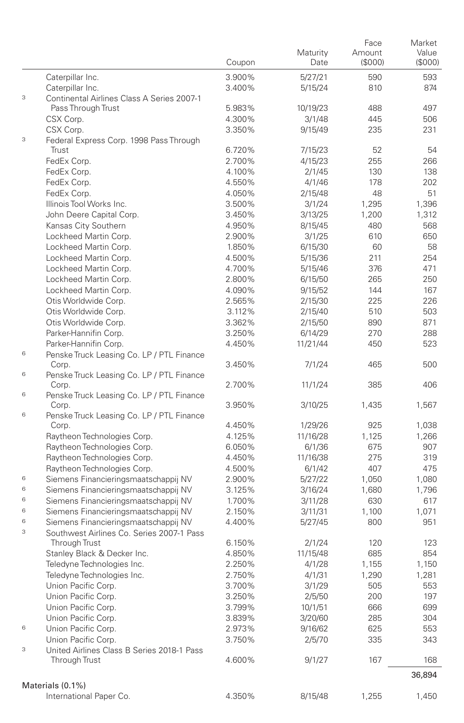|   |                                                            | Coupon           | Maturity<br>Date   | Face<br>Amount<br>(\$000) | Market<br>Value<br>(S000) |
|---|------------------------------------------------------------|------------------|--------------------|---------------------------|---------------------------|
|   | Caterpillar Inc.                                           | 3.900%           | 5/27/21            | 590                       | 593                       |
|   | Caterpillar Inc.                                           | 3.400%           | 5/15/24            | 810                       | 874                       |
| 3 | Continental Airlines Class A Series 2007-1                 |                  |                    |                           |                           |
|   | Pass Through Trust                                         | 5.983%           | 10/19/23           | 488                       | 497                       |
|   | CSX Corp.                                                  | 4.300%           | 3/1/48             | 445                       | 506                       |
|   | CSX Corp.                                                  | 3.350%           | 9/15/49            | 235                       | 231                       |
| 3 | Federal Express Corp. 1998 Pass Through                    |                  |                    |                           |                           |
|   | Trust                                                      | 6.720%           | 7/15/23            | 52                        | 54                        |
|   | FedEx Corp.                                                | 2.700%           | 4/15/23            | 255                       | 266                       |
|   | FedEx Corp.                                                | 4.100%           | 2/1/45             | 130                       | 138                       |
|   | FedEx Corp.                                                | 4.550%           | 4/1/46             | 178                       | 202                       |
|   | FedEx Corp.                                                | 4.050%           | 2/15/48            | 48                        | 51                        |
|   | Illinois Tool Works Inc.                                   | 3.500%           | 3/1/24             | 1,295                     | 1,396                     |
|   | John Deere Capital Corp.                                   | 3.450%           | 3/13/25            | 1,200                     | 1,312                     |
|   | Kansas City Southern                                       | 4.950%           | 8/15/45            | 480                       | 568                       |
|   | Lockheed Martin Corp.                                      | 2.900%           | 3/1/25             | 610                       | 650                       |
|   | Lockheed Martin Corp.                                      | 1.850%           | 6/15/30            | 60                        | 58                        |
|   | Lockheed Martin Corp.                                      | 4.500%           | 5/15/36            | 211                       | 254                       |
|   | Lockheed Martin Corp.                                      | 4.700%           | 5/15/46            | 376                       | 471                       |
|   | Lockheed Martin Corp.                                      | 2.800%           | 6/15/50            | 265                       | 250                       |
|   | Lockheed Martin Corp.                                      | 4.090%           | 9/15/52            | 144                       | 167                       |
|   | Otis Worldwide Corp.                                       | 2.565%           | 2/15/30            | 225                       | 226                       |
|   | Otis Worldwide Corp.                                       | 3.112%           | 2/15/40            | 510                       | 503                       |
|   | Otis Worldwide Corp.                                       | 3.362%           | 2/15/50            | 890                       | 871                       |
|   | Parker-Hannifin Corp.                                      | 3.250%           | 6/14/29            | 270                       | 288                       |
|   | Parker-Hannifin Corp.                                      | 4.450%           | 11/21/44           | 450                       | 523                       |
| 6 | Penske Truck Leasing Co. LP / PTL Finance                  |                  |                    |                           |                           |
|   | Corp.                                                      | 3.450%           | 7/1/24             | 465                       | 500                       |
| 6 | Penske Truck Leasing Co. LP / PTL Finance                  |                  |                    |                           |                           |
|   | Corp.                                                      | 2.700%           | 11/1/24            | 385                       | 406                       |
| 6 | Penske Truck Leasing Co. LP / PTL Finance                  |                  |                    |                           |                           |
| 6 | Corp.                                                      | 3.950%           | 3/10/25            | 1,435                     | 1,567                     |
|   | Penske Truck Leasing Co. LP / PTL Finance<br>Corp.         | 4.450%           |                    | 925                       |                           |
|   |                                                            | 4.125%           | 1/29/26            |                           | 1,038<br>1,266            |
|   | Raytheon Technologies Corp.<br>Raytheon Technologies Corp. |                  | 11/16/28           | 1,125<br>675              | 907                       |
|   |                                                            | 6.050%<br>4.450% | 6/1/36             | 275                       |                           |
|   | Raytheon Technologies Corp.<br>Raytheon Technologies Corp. |                  | 11/16/38           | 407                       | 319<br>475                |
| 6 | Siemens Financieringsmaatschappij NV                       | 4.500%           | 6/1/42             |                           |                           |
| 6 | Siemens Financieringsmaatschappij NV                       | 2.900%           | 5/27/22            | 1,050                     | 1,080                     |
| 6 | Siemens Financieringsmaatschappij NV                       | 3.125%           | 3/16/24            | 1,680<br>630              | 1,796<br>617              |
| 6 | Siemens Financieringsmaatschappij NV                       | 1.700%<br>2.150% | 3/11/28            |                           | 1,071                     |
| 6 | Siemens Financieringsmaatschappij NV                       | 4.400%           | 3/11/31<br>5/27/45 | 1,100<br>800              | 951                       |
| 3 | Southwest Airlines Co. Series 2007-1 Pass                  |                  |                    |                           |                           |
|   | Through Trust                                              | 6.150%           | 2/1/24             | 120                       | 123                       |
|   | Stanley Black & Decker Inc.                                | 4.850%           | 11/15/48           | 685                       | 854                       |
|   | Teledyne Technologies Inc.                                 | 2.250%           | 4/1/28             | 1,155                     | 1,150                     |
|   | Teledyne Technologies Inc.                                 | 2.750%           | 4/1/31             |                           | 1,281                     |
|   | Union Pacific Corp.                                        | 3.700%           | 3/1/29             | 1,290<br>505              | 553                       |
|   | Union Pacific Corp.                                        | 3.250%           | 2/5/50             | 200                       | 197                       |
|   | Union Pacific Corp.                                        | 3.799%           | 10/1/51            | 666                       | 699                       |
|   | Union Pacific Corp.                                        | 3.839%           | 3/20/60            | 285                       | 304                       |
| 6 | Union Pacific Corp.                                        | 2.973%           | 9/16/62            |                           |                           |
|   | Union Pacific Corp.                                        | 3.750%           | 2/5/70             | 625<br>335                | 553<br>343                |
| 3 | United Airlines Class B Series 2018-1 Pass                 |                  |                    |                           |                           |
|   | Through Trust                                              | 4.600%           | 9/1/27             | 167                       | 168                       |
|   |                                                            |                  |                    |                           |                           |
|   |                                                            |                  |                    |                           | 36,894                    |
|   | Materials (0.1%)                                           |                  |                    |                           |                           |
|   | International Paper Co.                                    | 4.350%           | 8/15/48            | 1,255                     | 1,450                     |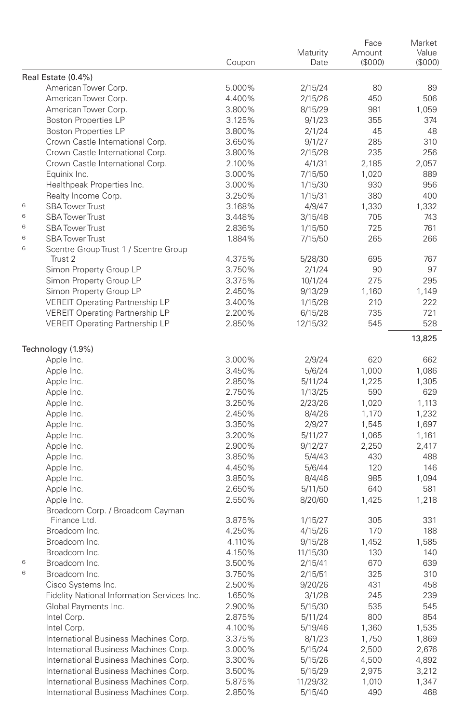|   |                                             | Coupon | Maturity<br>Date | Face<br>Amount<br>(\$000) | Market<br>Value<br>(\$000) |
|---|---------------------------------------------|--------|------------------|---------------------------|----------------------------|
|   | Real Estate (0.4%)                          |        |                  |                           |                            |
|   | American Tower Corp.                        | 5.000% | 2/15/24          | 80                        | 89                         |
|   | American Tower Corp.                        | 4.400% | 2/15/26          | 450                       | 506                        |
|   | American Tower Corp.                        | 3.800% | 8/15/29          | 981                       | 1,059                      |
|   | <b>Boston Properties LP</b>                 | 3.125% | 9/1/23           | 355                       | 374                        |
|   | <b>Boston Properties LP</b>                 | 3.800% | 2/1/24           | 45                        | 48                         |
|   | Crown Castle International Corp.            | 3.650% | 9/1/27           | 285                       | 310                        |
|   | Crown Castle International Corp.            | 3.800% | 2/15/28          | 235                       | 256                        |
|   | Crown Castle International Corp.            | 2.100% | 4/1/31           | 2,185                     | 2,057                      |
|   | Equinix Inc.                                | 3.000% | 7/15/50          | 1,020                     | 889                        |
|   | Healthpeak Properties Inc.                  | 3.000% | 1/15/30          | 930                       | 956                        |
|   | Realty Income Corp.                         | 3.250% | 1/15/31          | 380                       | 400                        |
| 6 | <b>SBA Tower Trust</b>                      | 3.168% | 4/9/47           | 1,330                     | 1,332                      |
| 6 | <b>SBA Tower Trust</b>                      | 3.448% | 3/15/48          | 705                       | 743                        |
| 6 | <b>SBA Tower Trust</b>                      | 2.836% | 1/15/50          | 725                       | 761                        |
| 6 | <b>SBA Tower Trust</b>                      | 1.884% | 7/15/50          | 265                       | 266                        |
| 6 | Scentre Group Trust 1 / Scentre Group       |        |                  |                           |                            |
|   | Trust 2                                     | 4.375% | 5/28/30          | 695                       | 767                        |
|   | Simon Property Group LP                     | 3.750% | 2/1/24           | 90                        | 97                         |
|   | Simon Property Group LP                     | 3.375% | 10/1/24          | 275                       | 295                        |
|   | Simon Property Group LP                     | 2.450% | 9/13/29          | 1,160                     | 1,149                      |
|   | <b>VEREIT Operating Partnership LP</b>      | 3.400% | 1/15/28          | 210                       | 222                        |
|   | <b>VEREIT Operating Partnership LP</b>      | 2.200% | 6/15/28          | 735                       | 721                        |
|   | <b>VEREIT Operating Partnership LP</b>      | 2.850% | 12/15/32         | 545                       | 528<br>13,825              |
|   | Technology (1.9%)                           |        |                  |                           |                            |
|   | Apple Inc.                                  | 3.000% | 2/9/24           | 620                       | 662                        |
|   | Apple Inc.                                  | 3.450% | 5/6/24           | 1,000                     | 1,086                      |
|   | Apple Inc.                                  | 2.850% | 5/11/24          | 1,225                     | 1,305                      |
|   | Apple Inc.                                  | 2.750% | 1/13/25          | 590                       | 629                        |
|   | Apple Inc.                                  | 3.250% | 2/23/26          | 1,020                     | 1,113                      |
|   | Apple Inc.                                  | 2.450% | 8/4/26           | 1,170                     | 1,232                      |
|   | Apple Inc.                                  | 3.350% | 2/9/27           | 1,545                     | 1,697                      |
|   | Apple Inc.                                  | 3.200% | 5/11/27          | 1,065                     | 1,161                      |
|   | Apple Inc.                                  | 2.900% | 9/12/27          | 2,250                     | 2,417                      |
|   | Apple Inc.                                  | 3.850% | 5/4/43           | 430                       | 488                        |
|   | Apple Inc.                                  | 4.450% | 5/6/44           | 120                       | 146                        |
|   | Apple Inc.                                  | 3.850% | 8/4/46           | 985                       | 1,094                      |
|   | Apple Inc.                                  | 2.650% | 5/11/50          | 640                       | 581                        |
|   | Apple Inc.                                  | 2.550% | 8/20/60          | 1,425                     | 1,218                      |
|   | Broadcom Corp. / Broadcom Cayman            |        |                  |                           |                            |
|   | Finance Ltd.                                | 3.875% | 1/15/27          | 305                       | 331                        |
|   | Broadcom Inc.                               | 4.250% | 4/15/26          | 170                       | 188                        |
|   | Broadcom Inc.                               | 4.110% | 9/15/28          | 1,452                     | 1,585                      |
|   | Broadcom Inc.                               | 4.150% | 11/15/30         | 130                       | 140                        |
| 6 | Broadcom Inc.                               | 3.500% | 2/15/41          | 670                       | 639                        |
| 6 | Broadcom Inc.                               | 3.750% | 2/15/51          | 325                       | 310                        |
|   | Cisco Systems Inc.                          | 2.500% | 9/20/26          | 431                       | 458                        |
|   | Fidelity National Information Services Inc. | 1.650% | 3/1/28           | 245                       | 239                        |
|   | Global Payments Inc.                        | 2.900% | 5/15/30          | 535                       | 545                        |
|   | Intel Corp.                                 | 2.875% | 5/11/24          | 800                       | 854                        |
|   | Intel Corp.                                 | 4.100% | 5/19/46          | 1,360                     | 1,535                      |
|   | International Business Machines Corp.       | 3.375% | 8/1/23           | 1,750                     | 1,869                      |
|   | International Business Machines Corp.       | 3.000% | 5/15/24          | 2,500                     | 2,676                      |
|   | International Business Machines Corp.       | 3.300% | 5/15/26          | 4,500                     | 4,892                      |
|   | International Business Machines Corp.       | 3.500% | 5/15/29          | 2,975                     | 3,212                      |
|   | International Business Machines Corp.       | 5.875% | 11/29/32         | 1,010                     | 1,347                      |
|   | International Business Machines Corp.       | 2.850% | 5/15/40          | 490                       | 468                        |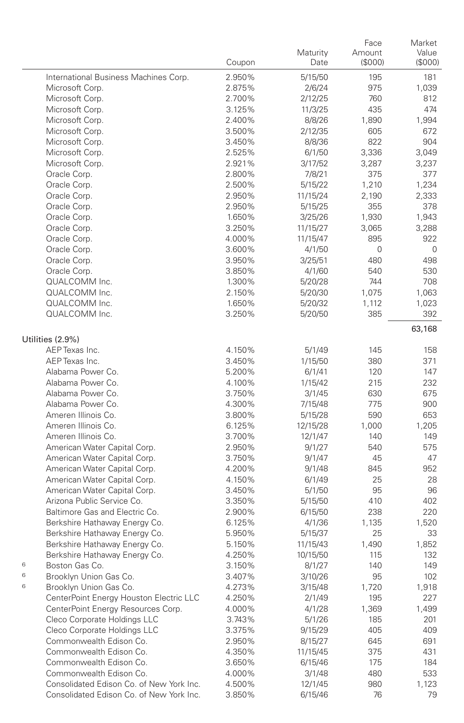|                                                              | Coupon           | Maturity<br>Date | Face<br>Amount<br>(\$000) | Market<br>Value<br>(\$000) |
|--------------------------------------------------------------|------------------|------------------|---------------------------|----------------------------|
| International Business Machines Corp.                        | 2.950%           | 5/15/50          | 195                       | 181                        |
| Microsoft Corp.                                              | 2.875%           | 2/6/24           | 975                       | 1,039                      |
| Microsoft Corp.                                              | 2.700%           | 2/12/25          | 760                       | 812                        |
| Microsoft Corp.                                              | 3.125%           | 11/3/25          | 435                       | 474                        |
| Microsoft Corp.                                              | 2.400%           | 8/8/26           | 1,890                     | 1,994                      |
| Microsoft Corp.                                              | 3.500%           | 2/12/35          | 605                       | 672                        |
| Microsoft Corp.                                              | 3.450%           | 8/8/36           | 822                       | 904                        |
| Microsoft Corp.                                              | 2.525%           | 6/1/50           | 3,336                     | 3,049                      |
| Microsoft Corp.                                              | 2.921%           | 3/17/52          | 3,287                     | 3,237                      |
| Oracle Corp.                                                 | 2.800%           | 7/8/21           | 375                       | 377                        |
| Oracle Corp.                                                 | 2.500%           | 5/15/22          | 1,210                     | 1,234                      |
| Oracle Corp.                                                 | 2.950%           | 11/15/24         | 2,190                     | 2,333                      |
| Oracle Corp.                                                 | 2.950%           | 5/15/25          | 355                       | 378                        |
| Oracle Corp.                                                 | 1.650%           | 3/25/26          | 1,930                     | 1,943                      |
| Oracle Corp.                                                 | 3.250%           | 11/15/27         | 3,065                     | 3,288                      |
| Oracle Corp.                                                 | 4.000%           | 11/15/47         | 895                       | 922                        |
| Oracle Corp.                                                 | 3.600%           | 4/1/50           | 0                         | 0                          |
| Oracle Corp.                                                 | 3.950%           | 3/25/51          | 480                       | 498                        |
| Oracle Corp.                                                 | 3.850%           | 4/1/60           | 540                       | 530                        |
| QUALCOMM Inc.                                                | 1.300%           | 5/20/28          | 744                       | 708                        |
| QUALCOMM Inc.                                                | 2.150%           | 5/20/30          | 1,075                     | 1,063                      |
| QUALCOMM Inc.                                                | 1.650%           | 5/20/32          | 1,112                     | 1,023                      |
| QUALCOMM Inc.                                                | 3.250%           | 5/20/50          | 385                       | 392<br>63,168              |
| Utilities (2.9%)                                             |                  |                  |                           |                            |
| AEP Texas Inc.                                               | 4.150%           | 5/1/49           | 145                       | 158                        |
| AEP Texas Inc.                                               | 3.450%           | 1/15/50          | 380                       | 371                        |
| Alabama Power Co.                                            | 5.200%           | 6/1/41           | 120                       | 147                        |
| Alabama Power Co.                                            | 4.100%           | 1/15/42          | 215                       | 232                        |
| Alabama Power Co.                                            | 3.750%           | 3/1/45           | 630                       | 675                        |
| Alabama Power Co.                                            | 4.300%           | 7/15/48          | 775                       | 900                        |
| Ameren Illinois Co.                                          | 3.800%           | 5/15/28          | 590                       | 653                        |
| Ameren Illinois Co.                                          | 6.125%           | 12/15/28         | 1,000                     | 1,205                      |
| Ameren Illinois Co.                                          | 3.700%           | 12/1/47          | 140                       | 149                        |
| American Water Capital Corp.                                 | 2.950%           | 9/1/27           | 540<br>45                 | 575<br>47                  |
| American Water Capital Corp.                                 | 3.750%           | 9/1/47           | 845                       | 952                        |
| American Water Capital Corp.<br>American Water Capital Corp. | 4.200%           | 9/1/48           | 25                        | 28                         |
| American Water Capital Corp.                                 | 4.150%<br>3.450% | 6/1/49<br>5/1/50 | 95                        | 96                         |
| Arizona Public Service Co.                                   | 3.350%           | 5/15/50          | 410                       | 402                        |
| Baltimore Gas and Electric Co.                               | 2.900%           | 6/15/50          | 238                       | 220                        |
| Berkshire Hathaway Energy Co.                                | 6.125%           | 4/1/36           | 1,135                     | 1,520                      |
| Berkshire Hathaway Energy Co.                                | 5.950%           | 5/15/37          | 25                        | 33                         |
| Berkshire Hathaway Energy Co.                                | 5.150%           | 11/15/43         | 1,490                     | 1,852                      |
| Berkshire Hathaway Energy Co.                                | 4.250%           | 10/15/50         | 115                       | 132                        |
| 6<br>Boston Gas Co.                                          | 3.150%           | 8/1/27           | 140                       | 149                        |
| 6<br>Brooklyn Union Gas Co.                                  | 3.407%           | 3/10/26          | 95                        | 102                        |
| 6<br>Brooklyn Union Gas Co.                                  | 4.273%           | 3/15/48          | 1,720                     | 1,918                      |
| CenterPoint Energy Houston Electric LLC                      | 4.250%           | 2/1/49           | 195                       | 227                        |
| CenterPoint Energy Resources Corp.                           | 4.000%           | 4/1/28           | 1,369                     | 1,499                      |
| Cleco Corporate Holdings LLC                                 | 3.743%           | 5/1/26           | 185                       | 201                        |
| Cleco Corporate Holdings LLC                                 | 3.375%           | 9/15/29          | 405                       | 409                        |
| Commonwealth Edison Co.                                      | 2.950%           | 8/15/27          | 645                       | 691                        |
| Commonwealth Edison Co.                                      | 4.350%           | 11/15/45         | 375                       | 431                        |
| Commonwealth Edison Co.                                      | 3.650%           | 6/15/46          | 175                       | 184                        |
| Commonwealth Edison Co.                                      | 4.000%           | 3/1/48           | 480                       | 533                        |
| Consolidated Edison Co. of New York Inc.                     | 4.500%           | 12/1/45          | 980                       | 1,123                      |
| Consolidated Edison Co. of New York Inc.                     | 3.850%           | 6/15/46          | 76                        | 79                         |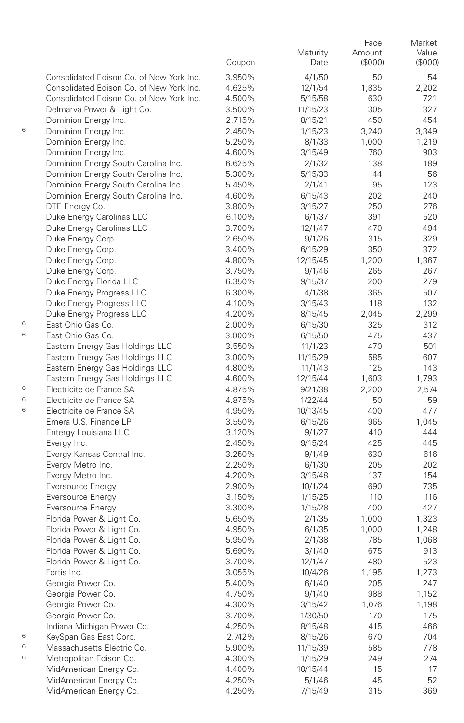|   |                                                | Coupon           | Maturity<br>Date | Face<br>Amount<br>(S000) | Market<br>Value<br>(\$000) |
|---|------------------------------------------------|------------------|------------------|--------------------------|----------------------------|
|   | Consolidated Edison Co. of New York Inc.       | 3.950%           | 4/1/50           | 50                       | 54                         |
|   | Consolidated Edison Co. of New York Inc.       | 4.625%           | 12/1/54          | 1,835                    | 2,202                      |
|   | Consolidated Edison Co. of New York Inc.       | 4.500%           | 5/15/58          | 630                      | 721                        |
|   | Delmarva Power & Light Co.                     | 3.500%           | 11/15/23         | 305                      | 327                        |
|   | Dominion Energy Inc.                           | 2.715%           | 8/15/21          | 450                      | 454                        |
| 6 | Dominion Energy Inc.                           | 2.450%           | 1/15/23          | 3,240                    | 3,349                      |
|   | Dominion Energy Inc.                           | 5.250%           | 8/1/33           | 1,000                    | 1,219                      |
|   | Dominion Energy Inc.                           | 4.600%           | 3/15/49          | 760                      | 903                        |
|   | Dominion Energy South Carolina Inc.            | 6.625%           | 2/1/32           | 138                      | 189                        |
|   | Dominion Energy South Carolina Inc.            | 5.300%           | 5/15/33          | 44                       | 56                         |
|   | Dominion Energy South Carolina Inc.            | 5.450%           | 2/1/41           | 95                       | 123                        |
|   | Dominion Energy South Carolina Inc.            | 4.600%           | 6/15/43          | 202                      | 240                        |
|   | DTE Energy Co.                                 | 3.800%           | 3/15/27          | 250                      | 276                        |
|   | Duke Energy Carolinas LLC                      | 6.100%           | 6/1/37           | 391                      | 520                        |
|   | Duke Energy Carolinas LLC                      | 3.700%           | 12/1/47          | 470                      | 494                        |
|   | Duke Energy Corp.                              | 2.650%           | 9/1/26           | 315                      | 329                        |
|   | Duke Energy Corp.                              | 3.400%           | 6/15/29          | 350                      | 372                        |
|   | Duke Energy Corp.                              | 4.800%           | 12/15/45         | 1,200                    | 1,367                      |
|   | Duke Energy Corp.                              | 3.750%           | 9/1/46           | 265                      | 267                        |
|   | Duke Energy Florida LLC                        | 6.350%           | 9/15/37          | 200                      | 279                        |
|   | Duke Energy Progress LLC                       | 6.300%           | 4/1/38           | 365                      | 507                        |
|   | Duke Energy Progress LLC                       | 4.100%           | 3/15/43          | 118                      | 132                        |
|   | Duke Energy Progress LLC                       | 4.200%           | 8/15/45          | 2,045                    | 2,299                      |
| 6 | East Ohio Gas Co.                              | 2.000%           | 6/15/30          | 325                      | 312                        |
| 6 | East Ohio Gas Co.                              | 3.000%           | 6/15/50          | 475                      | 437                        |
|   | Eastern Energy Gas Holdings LLC                | 3.550%           | 11/1/23          | 470                      | 501                        |
|   | Eastern Energy Gas Holdings LLC                | 3.000%           | 11/15/29         | 585                      | 607                        |
|   | Eastern Energy Gas Holdings LLC                | 4.800%           | 11/1/43          | 125                      | 143                        |
|   | Eastern Energy Gas Holdings LLC                | 4.600%           | 12/15/44         | 1,603                    | 1,793                      |
| 6 | Electricite de France SA                       | 4.875%           | 9/21/38          | 2,200                    | 2,574                      |
| 6 | Electricite de France SA                       | 4.875%           | 1/22/44          | 50                       | 59                         |
| 6 | Electricite de France SA                       | 4.950%           | 10/13/45         | 400                      | 477                        |
|   | Emera U.S. Finance LP                          | 3.550%           | 6/15/26          | 965                      | 1,045                      |
|   | Entergy Louisiana LLC                          | 3.120%           | 9/1/27           | 410                      | 444                        |
|   | Evergy Inc.                                    | 2.450%           | 9/15/24          | 425                      | 445                        |
|   | Evergy Kansas Central Inc.                     | 3.250%           | 9/1/49           | 630                      | 616                        |
|   | Evergy Metro Inc.                              | 2.250%           | 6/1/30           | 205                      | 202                        |
|   | Evergy Metro Inc.                              | 4.200%           | 3/15/48          | 137                      | 154                        |
|   | Eversource Energy                              | 2.900%           | 10/1/24          | 690                      | 735                        |
|   | Eversource Energy                              | 3.150%           | 1/15/25          | 110                      | 116                        |
|   | Eversource Energy<br>Florida Power & Light Co. | 3.300%<br>5.650% | 1/15/28          | 400                      | 427                        |
|   | Florida Power & Light Co.                      | 4.950%           | 2/1/35<br>6/1/35 | 1,000<br>1,000           | 1,323<br>1,248             |
|   | Florida Power & Light Co.                      | 5.950%           | 2/1/38           | 785                      | 1,068                      |
|   | Florida Power & Light Co.                      | 5.690%           | 3/1/40           | 675                      | 913                        |
|   | Florida Power & Light Co.                      | 3.700%           | 12/1/47          | 480                      | 523                        |
|   | Fortis Inc.                                    | 3.055%           | 10/4/26          | 1,195                    | 1,273                      |
|   | Georgia Power Co.                              | 5.400%           | 6/1/40           | 205                      | 247                        |
|   | Georgia Power Co.                              | 4.750%           | 9/1/40           | 988                      | 1,152                      |
|   | Georgia Power Co.                              | 4.300%           | 3/15/42          | 1,076                    | 1,198                      |
|   | Georgia Power Co.                              | 3.700%           | 1/30/50          | 170                      | 175                        |
|   | Indiana Michigan Power Co.                     | 4.250%           | 8/15/48          | 415                      | 466                        |
| 6 | KeySpan Gas East Corp.                         | 2.742%           | 8/15/26          | 670                      | 704                        |
| 6 | Massachusetts Electric Co.                     | 5.900%           | 11/15/39         | 585                      | 778                        |
| 6 | Metropolitan Edison Co.                        | 4.300%           | 1/15/29          | 249                      | 274                        |
|   | MidAmerican Energy Co.                         | 4.400%           | 10/15/44         | 15                       | 17                         |
|   | MidAmerican Energy Co.                         | 4.250%           | 5/1/46           | 45                       | 52                         |
|   | MidAmerican Energy Co.                         | 4.250%           | 7/15/49          | 315                      | 369                        |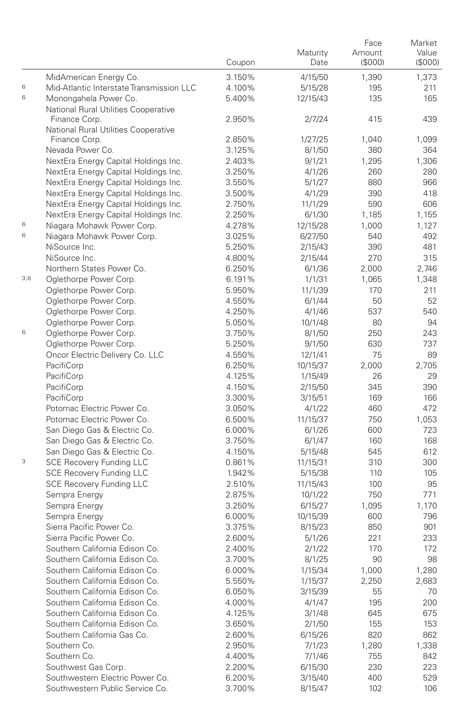|     |                                                                              | Coupon           | Maturity<br>Date   | Face<br>Amount<br>(\$000) | Market<br>Value<br>(\$000) |
|-----|------------------------------------------------------------------------------|------------------|--------------------|---------------------------|----------------------------|
|     | MidAmerican Energy Co.                                                       | 3.150%           | 4/15/50            | 1,390                     | 1,373                      |
| 6   | Mid-Atlantic Interstate Transmission LLC                                     | 4.100%           | 5/15/28            | 195                       | 211                        |
| 6   | Monongahela Power Co.                                                        | 5.400%           | 12/15/43           | 135                       | 165                        |
|     | National Rural Utilities Cooperative                                         |                  |                    |                           |                            |
|     | Finance Corp.                                                                | 2.950%           | 2/7/24             | 415                       | 439                        |
|     | National Rural Utilities Cooperative                                         |                  |                    |                           |                            |
|     | Finance Corp.                                                                | 2.850%           | 1/27/25            | 1,040                     | 1,099                      |
|     | Nevada Power Co.                                                             | 3.125%           | 8/1/50             | 380                       | 364                        |
|     | NextEra Energy Capital Holdings Inc.<br>NextEra Energy Capital Holdings Inc. | 2.403%           | 9/1/21             | 1,295                     | 1,306                      |
|     | NextEra Energy Capital Holdings Inc.                                         | 3.250%<br>3.550% | 4/1/26<br>5/1/27   | 260<br>880                | 280<br>966                 |
|     | NextEra Energy Capital Holdings Inc.                                         | 3.500%           | 4/1/29             | 390                       | 418                        |
|     | NextEra Energy Capital Holdings Inc.                                         | 2.750%           | 11/1/29            | 590                       | 606                        |
|     | NextEra Energy Capital Holdings Inc.                                         | 2.250%           | 6/1/30             | 1,185                     | 1,155                      |
| 6   | Niagara Mohawk Power Corp.                                                   | 4.278%           | 12/15/28           | 1,000                     | 1,127                      |
| 6   | Niagara Mohawk Power Corp.                                                   | 3.025%           | 6/27/50            | 540                       | 492                        |
|     | NiSource Inc.                                                                | 5.250%           | 2/15/43            | 390                       | 481                        |
|     | NiSource Inc.                                                                | 4.800%           | 2/15/44            | 270                       | 315                        |
|     | Northern States Power Co.                                                    | 6.250%           | 6/1/36             | 2,000                     | 2,746                      |
| 3,6 | Oglethorpe Power Corp.                                                       | 6.191%           | 1/1/31             | 1,065                     | 1,348                      |
|     | Oglethorpe Power Corp.                                                       | 5.950%           | 11/1/39            | 170                       | 211                        |
|     | Oglethorpe Power Corp.                                                       | 4.550%           | 6/1/44             | 50                        | 52                         |
|     | Oglethorpe Power Corp.                                                       | 4.250%           | 4/1/46             | 537                       | 540                        |
|     | Oglethorpe Power Corp.                                                       | 5.050%           | 10/1/48            | 80                        | 94                         |
| 6   | Oglethorpe Power Corp.                                                       | 3.750%           | 8/1/50             | 250                       | 243                        |
|     | Oglethorpe Power Corp.                                                       | 5.250%           | 9/1/50             | 630                       | 737                        |
|     | Oncor Electric Delivery Co. LLC                                              | 4.550%           | 12/1/41            | 75                        | 89                         |
|     | PacifiCorp                                                                   | 6.250%           | 10/15/37           | 2,000                     | 2,705                      |
|     | PacifiCorp                                                                   | 4.125%           | 1/15/49            | 26<br>345                 | 29<br>390                  |
|     | PacifiCorp<br>PacifiCorp                                                     | 4.150%<br>3.300% | 2/15/50<br>3/15/51 | 169                       | 166                        |
|     | Potomac Electric Power Co.                                                   | 3.050%           | 4/1/22             | 460                       | 472                        |
|     | Potomac Electric Power Co.                                                   | 6.500%           | 11/15/37           | 750                       | 1,053                      |
|     | San Diego Gas & Electric Co.                                                 | 6.000%           | 6/1/26             | 600                       | 723                        |
|     | San Diego Gas & Electric Co.                                                 | 3.750%           | 6/1/47             | 160                       | 168                        |
|     | San Diego Gas & Electric Co.                                                 | 4.150%           | 5/15/48            | 545                       | 612                        |
| 3   | <b>SCE Recovery Funding LLC</b>                                              | 0.861%           | 11/15/31           | 310                       | 300                        |
|     | <b>SCE Recovery Funding LLC</b>                                              | 1.942%           | 5/15/38            | 110                       | 105                        |
|     | <b>SCE Recovery Funding LLC</b>                                              | 2.510%           | 11/15/43           | 100                       | 95                         |
|     | Sempra Energy                                                                | 2.875%           | 10/1/22            | 750                       | 771                        |
|     | Sempra Energy                                                                | 3.250%           | 6/15/27            | 1,095                     | 1,170                      |
|     | Sempra Energy                                                                | 6.000%           | 10/15/39           | 600                       | 796                        |
|     | Sierra Pacific Power Co.                                                     | 3.375%           | 8/15/23            | 850                       | 901                        |
|     | Sierra Pacific Power Co.                                                     | 2.600%           | 5/1/26             | 221                       | 233                        |
|     | Southern California Edison Co.                                               | 2.400%           | 2/1/22             | 170                       | 172                        |
|     | Southern California Edison Co.                                               | 3.700%           | 8/1/25             | 90                        | 98                         |
|     | Southern California Edison Co.                                               | 6.000%           | 1/15/34            | 1,000                     | 1,280                      |
|     | Southern California Edison Co.                                               | 5.550%           | 1/15/37            | 2,250                     | 2,683                      |
|     | Southern California Edison Co.<br>Southern California Edison Co.             | 6.050%           | 3/15/39            | 55                        | 70                         |
|     | Southern California Edison Co.                                               | 4.000%<br>4.125% | 4/1/47             | 195                       | 200                        |
|     | Southern California Edison Co.                                               | 3.650%           | 3/1/48<br>2/1/50   | 645<br>155                | 675<br>153                 |
|     | Southern California Gas Co.                                                  | 2.600%           | 6/15/26            | 820                       | 862                        |
|     | Southern Co.                                                                 | 2.950%           | 7/1/23             | 1,280                     | 1,338                      |
|     | Southern Co.                                                                 | 4.400%           | 7/1/46             | 755                       | 842                        |
|     | Southwest Gas Corp.                                                          | 2.200%           | 6/15/30            | 230                       | 223                        |
|     | Southwestern Electric Power Co.                                              | 6.200%           | 3/15/40            | 400                       | 529                        |
|     | Southwestern Public Service Co.                                              | 3.700%           | 8/15/47            | 102                       | 106                        |
|     |                                                                              |                  |                    |                           |                            |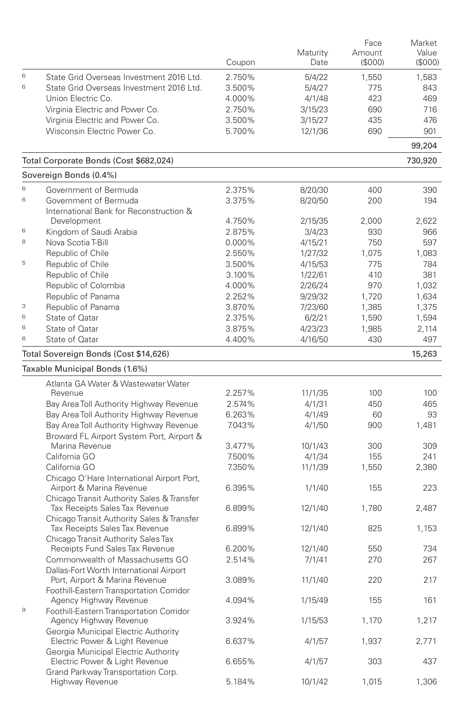|             |                                                                              | Coupon | Maturity<br>Date | Face<br>Amount<br>(\$000) | Market<br>Value<br>(\$000) |
|-------------|------------------------------------------------------------------------------|--------|------------------|---------------------------|----------------------------|
| 6           | State Grid Overseas Investment 2016 Ltd.                                     | 2.750% | 5/4/22           | 1,550                     | 1.583                      |
| 6           | State Grid Overseas Investment 2016 Ltd.                                     | 3.500% | 5/4/27           | 775                       | 843                        |
|             | Union Electric Co.                                                           | 4.000% | 4/1/48           | 423                       | 469                        |
|             | Virginia Electric and Power Co.                                              | 2.750% | 3/15/23          | 690                       | 716                        |
|             | Virginia Electric and Power Co.                                              | 3.500% | 3/15/27          | 435                       | 476                        |
|             | Wisconsin Electric Power Co.                                                 | 5.700% | 12/1/36          | 690                       | 901                        |
|             | Total Corporate Bonds (Cost \$682,024)                                       |        |                  |                           | 99,204<br>730,920          |
|             | Sovereign Bonds (0.4%)                                                       |        |                  |                           |                            |
| 6           | Government of Bermuda                                                        | 2.375% | 8/20/30          | 400                       | 390                        |
| 6           | Government of Bermuda                                                        | 3.375% | 8/20/50          | 200                       | 194                        |
|             | International Bank for Reconstruction &                                      |        |                  |                           |                            |
|             | Development                                                                  | 4.750% | 2/15/35          | 2,000                     | 2,622                      |
| 6           | Kingdom of Saudi Arabia                                                      | 2.875% | 3/4/23           | 930                       | 966                        |
| 8           | Nova Scotia T-Bill                                                           | 0.000% | 4/15/21          | 750                       | 597                        |
|             | Republic of Chile                                                            | 2.550% | 1/27/32          | 1,075                     | 1,083                      |
| 5           | Republic of Chile                                                            | 3.500% | 4/15/53          | 775                       | 784                        |
|             | Republic of Chile                                                            | 3.100% | 1/22/61          | 410                       | 381                        |
|             | Republic of Colombia                                                         | 4.000% | 2/26/24          | 970                       | 1,032                      |
|             | Republic of Panama                                                           | 2.252% | 9/29/32          | 1,720                     | 1,634                      |
| 3           | Republic of Panama                                                           | 3.870% | 7/23/60          | 1,385                     | 1,375                      |
| 6           | State of Qatar                                                               | 2.375% | 6/2/21           | 1,590                     | 1,594                      |
| 6           | State of Oatar                                                               | 3.875% | 4/23/23          | 1,985                     | 2,114                      |
| 6           | State of Qatar                                                               | 4.400% | 4/16/50          | 430                       | 497                        |
|             | Total Sovereign Bonds (Cost \$14,626)                                        |        |                  |                           | 15,263                     |
|             | Taxable Municipal Bonds (1.6%)                                               |        |                  |                           |                            |
|             | Atlanta GA Water & Wastewater Water                                          |        |                  |                           |                            |
|             | Revenue                                                                      | 2.257% | 11/1/35          | 100                       | 100                        |
|             | Bay Area Toll Authority Highway Revenue                                      | 2.574% | 4/1/31           | 450                       | 465                        |
|             | Bay Area Toll Authority Highway Revenue                                      | 6.263% | 4/1/49           | 60                        | 93                         |
|             | Bay Area Toll Authority Highway Revenue                                      | 7.043% | 4/1/50           | 900                       | 1,481                      |
|             | Broward FL Airport System Port, Airport &                                    |        |                  |                           |                            |
|             | Marina Revenue                                                               | 3.477% | 10/1/43          | 300                       | 309                        |
|             | California GO                                                                | 7.500% | 4/1/34           | 155                       | 241                        |
|             | California GO                                                                | 7.350% | 11/1/39          | 1,550                     | 2,380                      |
|             | Chicago O'Hare International Airport Port,<br>Airport & Marina Revenue       | 6.395% | 1/1/40           | 155                       | 223                        |
|             | Chicago Transit Authority Sales & Transfer                                   |        |                  |                           |                            |
|             | Tax Receipts Sales Tax Revenue<br>Chicago Transit Authority Sales & Transfer | 6.899% | 12/1/40          | 1.780                     | 2,487                      |
|             | Tax Receipts Sales Tax Revenue<br>Chicago Transit Authority Sales Tax        | 6.899% | 12/1/40          | 825                       | 1,153                      |
|             | Receipts Fund Sales Tax Revenue                                              | 6.200% | 12/1/40          | 550                       | 734                        |
|             | Commonwealth of Massachusetts GO                                             | 2.514% | 7/1/41           | 270                       | 267                        |
|             | Dallas-Fort Worth International Airport<br>Port, Airport & Marina Revenue    | 3.089% | 11/1/40          | 220                       | 217                        |
|             | Foothill-Eastern Transportation Corridor                                     |        |                  |                           |                            |
|             | Agency Highway Revenue                                                       | 4.094% | 1/15/49          | 155                       | 161                        |
| $\mathbf 9$ | Foothill-Eastern Transportation Corridor<br>Agency Highway Revenue           | 3.924% | 1/15/53          | 1,170                     | 1,217                      |
|             | Georgia Municipal Electric Authority                                         |        |                  |                           |                            |
|             | Electric Power & Light Revenue<br>Georgia Municipal Electric Authority       | 6.637% | 4/1/57           | 1,937                     | 2,771                      |
|             | Electric Power & Light Revenue<br>Grand Parkway Transportation Corp.         | 6.655% | 4/1/57           | 303                       | 437                        |
|             | Highway Revenue                                                              | 5.184% | 10/1/42          | 1,015                     | 1,306                      |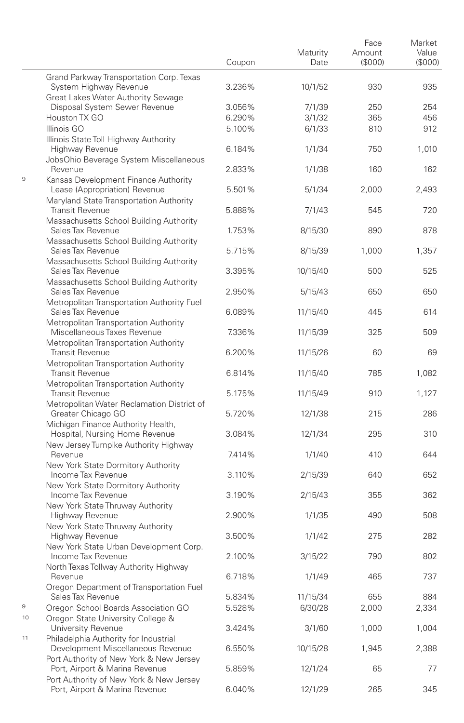|    |                                                                            | Coupon           | Maturity<br>Date    | Face<br>Amount<br>(S000) | Market<br>Value<br>(\$000) |
|----|----------------------------------------------------------------------------|------------------|---------------------|--------------------------|----------------------------|
|    | Grand Parkway Transportation Corp. Texas<br>System Highway Revenue         | 3.236%           | 10/1/52             | 930                      | 935                        |
|    | Great Lakes Water Authority Sewage                                         |                  |                     |                          |                            |
|    | Disposal System Sewer Revenue                                              | 3.056%           | 7/1/39              | 250                      | 254                        |
|    | Houston TX GO                                                              | 6.290%           | 3/1/32              | 365                      | 456                        |
|    | Illinois GO                                                                | 5.100%           | 6/1/33              | 810                      | 912                        |
|    | Illinois State Toll Highway Authority<br>Highway Revenue                   | 6.184%           | 1/1/34              | 750                      | 1,010                      |
|    | JobsOhio Beverage System Miscellaneous<br>Revenue                          | 2.833%           | 1/1/38              | 160                      | 162                        |
| 9  | Kansas Development Finance Authority<br>Lease (Appropriation) Revenue      | 5.501%           | 5/1/34              | 2.000                    | 2,493                      |
|    | Maryland State Transportation Authority<br><b>Transit Revenue</b>          | 5.888%           | 7/1/43              | 545                      | 720                        |
|    | Massachusetts School Building Authority<br>Sales Tax Revenue               | 1.753%           | 8/15/30             | 890                      | 878                        |
|    | Massachusetts School Building Authority<br>Sales Tax Revenue               | 5.715%           | 8/15/39             | 1,000                    | 1,357                      |
|    | Massachusetts School Building Authority<br>Sales Tax Revenue               | 3.395%           | 10/15/40            | 500                      | 525                        |
|    | Massachusetts School Building Authority<br>Sales Tax Revenue               | 2.950%           | 5/15/43             | 650                      | 650                        |
|    | Metropolitan Transportation Authority Fuel<br>Sales Tax Revenue            | 6.089%           | 11/15/40            | 445                      | 614                        |
|    | Metropolitan Transportation Authority<br>Miscellaneous Taxes Revenue       | 7.336%           | 11/15/39            | 325                      | 509                        |
|    | Metropolitan Transportation Authority<br><b>Transit Revenue</b>            | 6.200%           | 11/15/26            | 60                       | 69                         |
|    | Metropolitan Transportation Authority<br><b>Transit Revenue</b>            | 6.814%           | 11/15/40            | 785                      | 1,082                      |
|    | Metropolitan Transportation Authority<br><b>Transit Revenue</b>            | 5.175%           | 11/15/49            | 910                      | 1,127                      |
|    | Metropolitan Water Reclamation District of<br>Greater Chicago GO           | 5.720%           | 12/1/38             | 215                      | 286                        |
|    | Michigan Finance Authority Health,<br>Hospital, Nursing Home Revenue       | 3.084%           | 12/1/34             | 295                      | 310                        |
|    | New Jersey Turnpike Authority Highway<br>Revenue                           | 7.414%           | 1/1/40              | 410                      | 644                        |
|    | New York State Dormitory Authority<br>Income Tax Revenue                   | 3.110%           | 2/15/39             | 640                      | 652                        |
|    | New York State Dormitory Authority<br>Income Tax Revenue                   | 3.190%           | 2/15/43             | 355                      | 362                        |
|    | New York State Thruway Authority<br>Highway Revenue                        | 2.900%           | 1/1/35              | 490                      | 508                        |
|    | New York State Thruway Authority<br>Highway Revenue                        | 3.500%           | 1/1/42              | 275                      | 282                        |
|    | New York State Urban Development Corp.<br>Income Tax Revenue               | 2.100%           | 3/15/22             | 790                      | 802                        |
|    | North Texas Tollway Authority Highway                                      |                  |                     |                          |                            |
|    | Revenue<br>Oregon Department of Transportation Fuel                        | 6.718%           | 1/1/49              | 465                      | 737                        |
| 9  | Sales Tax Revenue<br>Oregon School Boards Association GO                   | 5.834%<br>5.528% | 11/15/34<br>6/30/28 | 655<br>2,000             | 884<br>2,334               |
| 10 | Oregon State University College &<br>University Revenue                    | 3.424%           | 3/1/60              | 1,000                    | 1,004                      |
| 11 | Philadelphia Authority for Industrial<br>Development Miscellaneous Revenue | 6.550%           | 10/15/28            | 1,945                    | 2,388                      |
|    | Port Authority of New York & New Jersey<br>Port, Airport & Marina Revenue  | 5.859%           | 12/1/24             | 65                       | 77                         |
|    | Port Authority of New York & New Jersey<br>Port, Airport & Marina Revenue  | 6.040%           | 12/1/29             | 265                      | 345                        |

÷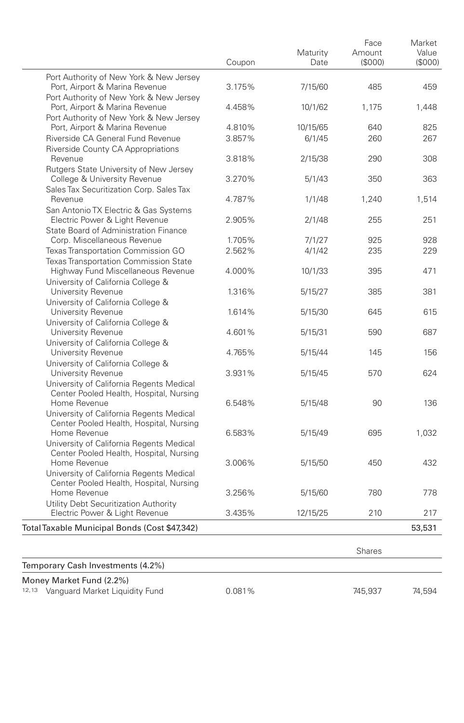|                                                                                     | Coupon | Maturity<br>Date | Face<br>Amount<br>(S000) | Market<br>Value<br>(S000) |
|-------------------------------------------------------------------------------------|--------|------------------|--------------------------|---------------------------|
| Port Authority of New York & New Jersey                                             |        |                  |                          |                           |
| Port, Airport & Marina Revenue                                                      | 3.175% | 7/15/60          | 485                      | 459                       |
| Port Authority of New York & New Jersey                                             |        |                  |                          |                           |
| Port, Airport & Marina Revenue                                                      | 4.458% | 10/1/62          | 1.175                    | 1,448                     |
| Port Authority of New York & New Jersey                                             |        |                  |                          |                           |
| Port, Airport & Marina Revenue                                                      | 4.810% | 10/15/65         | 640                      | 825                       |
| Riverside CA General Fund Revenue                                                   | 3.857% | 6/1/45           | 260                      | 267                       |
| Riverside County CA Appropriations                                                  |        |                  |                          |                           |
| Revenue                                                                             | 3.818% | 2/15/38          | 290                      | 308                       |
| Rutgers State University of New Jersey                                              |        |                  |                          |                           |
| College & University Revenue                                                        | 3.270% | 5/1/43           | 350                      | 363                       |
| Sales Tax Securitization Corp. Sales Tax                                            |        |                  |                          |                           |
| Revenue                                                                             | 4.787% | 1/1/48           | 1,240                    | 1,514                     |
| San Antonio TX Electric & Gas Systems                                               |        |                  |                          |                           |
| Electric Power & Light Revenue                                                      | 2.905% | 2/1/48           | 255                      | 251                       |
| State Board of Administration Finance                                               |        |                  |                          |                           |
| Corp. Miscellaneous Revenue                                                         | 1.705% | 7/1/27           | 925                      | 928                       |
| Texas Transportation Commission GO                                                  | 2.562% | 4/1/42           | 235                      | 229                       |
| <b>Texas Transportation Commission State</b>                                        |        |                  |                          |                           |
| Highway Fund Miscellaneous Revenue                                                  | 4.000% | 10/1/33          | 395                      | 471                       |
| University of California College &                                                  |        |                  |                          |                           |
| University Revenue                                                                  | 1.316% | 5/15/27          | 385                      | 381                       |
| University of California College &                                                  |        |                  |                          |                           |
| University Revenue                                                                  | 1.614% | 5/15/30          | 645                      | 615                       |
| University of California College &                                                  |        |                  |                          |                           |
| University Revenue                                                                  | 4.601% | 5/15/31          | 590                      | 687                       |
| University of California College &                                                  |        |                  |                          |                           |
| University Revenue                                                                  | 4.765% | 5/15/44          | 145                      | 156                       |
| University of California College &                                                  | 3.931% |                  | 570                      | 624                       |
| University Revenue                                                                  |        | 5/15/45          |                          |                           |
| University of California Regents Medical<br>Center Pooled Health, Hospital, Nursing |        |                  |                          |                           |
| Home Revenue                                                                        | 6.548% | 5/15/48          | 90                       | 136                       |
| University of California Regents Medical                                            |        |                  |                          |                           |
| Center Pooled Health, Hospital, Nursing                                             |        |                  |                          |                           |
| Home Revenue                                                                        | 6.583% | 5/15/49          | 695                      | 1,032                     |
| University of California Regents Medical                                            |        |                  |                          |                           |
| Center Pooled Health, Hospital, Nursing                                             |        |                  |                          |                           |
| Home Revenue                                                                        | 3.006% | 5/15/50          | 450                      | 432                       |
| University of California Regents Medical                                            |        |                  |                          |                           |
| Center Pooled Health, Hospital, Nursing                                             |        |                  |                          |                           |
| Home Revenue                                                                        | 3.256% | 5/15/60          | 780                      | 778                       |
| Utility Debt Securitization Authority                                               |        |                  |                          |                           |
| Electric Power & Light Revenue                                                      | 3.435% | 12/15/25         | 210                      | 217                       |
| Total Taxable Municipal Bonds (Cost \$47,342)                                       |        |                  |                          | 53,531                    |
|                                                                                     |        |                  | <b>Shares</b>            |                           |
| Temporary Cash Investments (4.2%)                                                   |        |                  |                          |                           |
|                                                                                     |        |                  |                          |                           |
| Money Market Fund (2.2%)                                                            |        |                  |                          |                           |

<sup>12,13</sup> Vanguard Market Liquidity Fund **0.081%** 745,937 74,594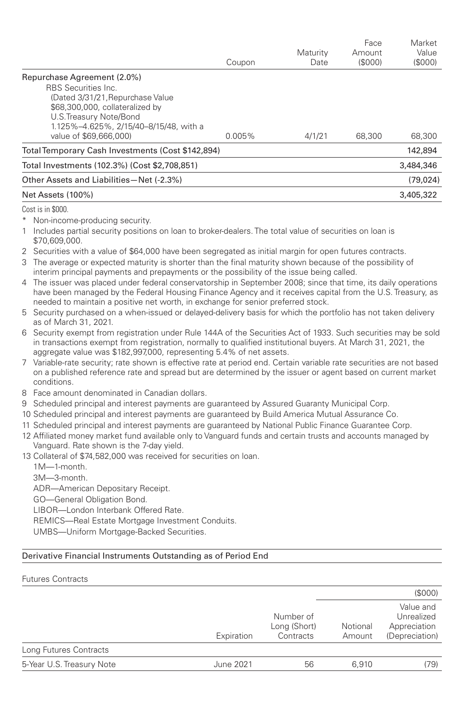|                                                   |           |          | Face    | Market    |
|---------------------------------------------------|-----------|----------|---------|-----------|
|                                                   |           | Maturity | Amount  | Value     |
|                                                   | Coupon    | Date     | (\$000) | (S000)    |
| Repurchase Agreement (2.0%)                       |           |          |         |           |
| <b>RBS</b> Securities Inc.                        |           |          |         |           |
| (Dated 3/31/21, Repurchase Value                  |           |          |         |           |
| \$68,300,000, collateralized by                   |           |          |         |           |
| U.S. Treasury Note/Bond                           |           |          |         |           |
| 1.125%-4.625%, 2/15/40-8/15/48, with a            |           |          |         |           |
| value of \$69,666,000)                            | $0.005\%$ | 4/1/21   | 68,300  | 68,300    |
| Total Temporary Cash Investments (Cost \$142,894) |           |          | 142.894 |           |
| Total Investments (102.3%) (Cost \$2.708.851)     |           |          |         | 3,484,346 |
| Other Assets and Liabilities-Net (-2.3%)          |           |          |         | (79, 024) |
| Net Assets (100%)                                 |           |          |         | 3,405,322 |
|                                                   |           |          |         |           |

Cost is in \$000.

\* Non-income-producing security.

1 Includes partial security positions on loan to broker-dealers. The total value of securities on loan is \$70,609,000.

2 Securities with a value of \$64,000 have been segregated as initial margin for open futures contracts.

- 3 The average or expected maturity is shorter than the final maturity shown because of the possibility of interim principal payments and prepayments or the possibility of the issue being called.
- 4 The issuer was placed under federal conservatorship in September 2008; since that time, its daily operations have been managed by the Federal Housing Finance Agency and it receives capital from the U.S. Treasury, as needed to maintain a positive net worth, in exchange for senior preferred stock.
- 5 Security purchased on a when-issued or delayed-delivery basis for which the portfolio has not taken delivery as of March 31, 2021.
- 6 Security exempt from registration under Rule 144A of the Securities Act of 1933. Such securities may be sold in transactions exempt from registration, normally to qualified institutional buyers. At March 31, 2021, the aggregate value was \$182,997,000, representing 5.4% of net assets.
- 7 Variable-rate security; rate shown is effective rate at period end. Certain variable rate securities are not based on a published reference rate and spread but are determined by the issuer or agent based on current market conditions.
- 8 Face amount denominated in Canadian dollars.
- 9 Scheduled principal and interest payments are guaranteed by Assured Guaranty Municipal Corp.
- 10 Scheduled principal and interest payments are guaranteed by Build America Mutual Assurance Co.
- 11 Scheduled principal and interest payments are guaranteed by National Public Finance Guarantee Corp.
- 12 Affiliated money market fund available only to Vanguard funds and certain trusts and accounts managed by Vanguard. Rate shown is the 7-day yield.

13 Collateral of \$74,582,000 was received for securities on loan.

1M—1-month. 3M—3-month. ADR—American Depositary Receipt. GO—General Obligation Bond. LIBOR—London Interbank Offered Rate. REMICS—Real Estate Mortgage Investment Conduits. UMBS—Uniform Mortgage-Backed Securities.

## Derivative Financial Instruments Outstanding as of Period End

Futures Contracts (\$000) Expiration Number of Long (Short) **Contracts** Notional Amount Value and Unrealized Appreciation (Depreciation) Long Futures Contracts 5-Year U.S. Treasury Note  $\frac{1}{9}$  June 2021 56 6,910 (79)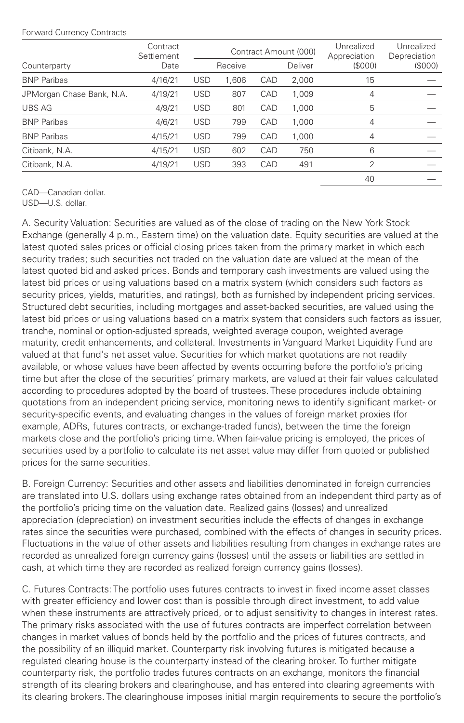## Forward Currency Contracts

|                           | Contract<br>Settlement<br>Date |            | Contract Amount (000) |     |         | Unrealized<br>Appreciation | Unrealized<br>Depreciation |
|---------------------------|--------------------------------|------------|-----------------------|-----|---------|----------------------------|----------------------------|
| Counterparty              |                                |            | Receive               |     | Deliver | (S000)                     | (\$000)                    |
| <b>BNP Paribas</b>        | 4/16/21                        | <b>USD</b> | 1.606                 | CAD | 2.000   | 15                         |                            |
| JPMorgan Chase Bank, N.A. | 4/19/21                        | <b>USD</b> | 807                   | CAD | 1.009   | 4                          |                            |
| <b>UBS AG</b>             | 4/9/21                         | <b>USD</b> | 801                   | CAD | 1,000   | 5                          |                            |
| <b>BNP Paribas</b>        | 4/6/21                         | <b>USD</b> | 799                   | CAD | 1,000   | 4                          |                            |
| <b>BNP Paribas</b>        | 4/15/21                        | <b>USD</b> | 799                   | CAD | 1,000   | 4                          |                            |
| Citibank, N.A.            | 4/15/21                        | <b>USD</b> | 602                   | CAD | 750     | 6                          |                            |
| Citibank, N.A.            | 4/19/21                        | <b>USD</b> | 393                   | CAD | 491     | $\overline{\mathcal{L}}$   |                            |
|                           |                                |            |                       |     |         | 40                         |                            |

CAD—Canadian dollar.

USD—U.S. dollar.

A. Security Valuation: Securities are valued as of the close of trading on the New York Stock Exchange (generally 4 p.m., Eastern time) on the valuation date. Equity securities are valued at the latest quoted sales prices or official closing prices taken from the primary market in which each security trades; such securities not traded on the valuation date are valued at the mean of the latest quoted bid and asked prices. Bonds and temporary cash investments are valued using the latest bid prices or using valuations based on a matrix system (which considers such factors as security prices, yields, maturities, and ratings), both as furnished by independent pricing services. Structured debt securities, including mortgages and asset-backed securities, are valued using the latest bid prices or using valuations based on a matrix system that considers such factors as issuer, tranche, nominal or option-adjusted spreads, weighted average coupon, weighted average maturity, credit enhancements, and collateral. Investments in Vanguard Market Liquidity Fund are valued at that fund's net asset value. Securities for which market quotations are not readily available, or whose values have been affected by events occurring before the portfolio's pricing time but after the close of the securities' primary markets, are valued at their fair values calculated according to procedures adopted by the board of trustees. These procedures include obtaining quotations from an independent pricing service, monitoring news to identify significant market- or security-specific events, and evaluating changes in the values of foreign market proxies (for example, ADRs, futures contracts, or exchange-traded funds), between the time the foreign markets close and the portfolio's pricing time. When fair-value pricing is employed, the prices of securities used by a portfolio to calculate its net asset value may differ from quoted or published prices for the same securities.

B. Foreign Currency: Securities and other assets and liabilities denominated in foreign currencies are translated into U.S. dollars using exchange rates obtained from an independent third party as of the portfolio's pricing time on the valuation date. Realized gains (losses) and unrealized appreciation (depreciation) on investment securities include the effects of changes in exchange rates since the securities were purchased, combined with the effects of changes in security prices. Fluctuations in the value of other assets and liabilities resulting from changes in exchange rates are recorded as unrealized foreign currency gains (losses) until the assets or liabilities are settled in cash, at which time they are recorded as realized foreign currency gains (losses).

C. Futures Contracts: The portfolio uses futures contracts to invest in fixed income asset classes with greater efficiency and lower cost than is possible through direct investment, to add value when these instruments are attractively priced, or to adjust sensitivity to changes in interest rates. The primary risks associated with the use of futures contracts are imperfect correlation between changes in market values of bonds held by the portfolio and the prices of futures contracts, and the possibility of an illiquid market. Counterparty risk involving futures is mitigated because a regulated clearing house is the counterparty instead of the clearing broker. To further mitigate counterparty risk, the portfolio trades futures contracts on an exchange, monitors the financial strength of its clearing brokers and clearinghouse, and has entered into clearing agreements with its clearing brokers. The clearinghouse imposes initial margin requirements to secure the portfolio's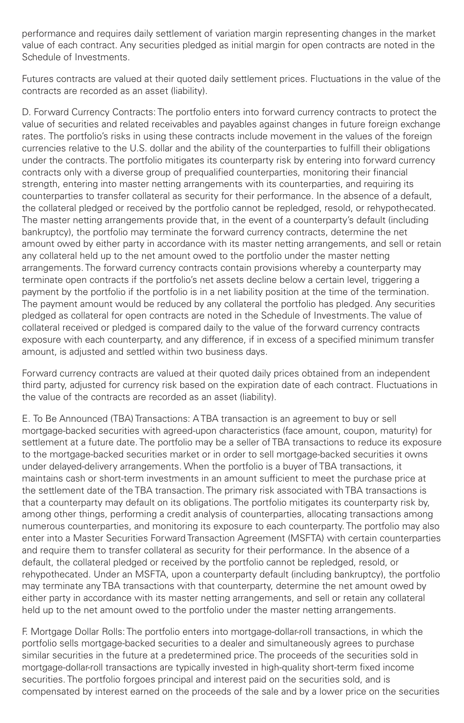performance and requires daily settlement of variation margin representing changes in the market value of each contract. Any securities pledged as initial margin for open contracts are noted in the Schedule of Investments.

Futures contracts are valued at their quoted daily settlement prices. Fluctuations in the value of the contracts are recorded as an asset (liability).

D. Forward Currency Contracts: The portfolio enters into forward currency contracts to protect the value of securities and related receivables and payables against changes in future foreign exchange rates. The portfolio's risks in using these contracts include movement in the values of the foreign currencies relative to the U.S. dollar and the ability of the counterparties to fulfill their obligations under the contracts. The portfolio mitigates its counterparty risk by entering into forward currency contracts only with a diverse group of prequalified counterparties, monitoring their financial strength, entering into master netting arrangements with its counterparties, and requiring its counterparties to transfer collateral as security for their performance. In the absence of a default, the collateral pledged or received by the portfolio cannot be repledged, resold, or rehypothecated. The master netting arrangements provide that, in the event of a counterparty's default (including bankruptcy), the portfolio may terminate the forward currency contracts, determine the net amount owed by either party in accordance with its master netting arrangements, and sell or retain any collateral held up to the net amount owed to the portfolio under the master netting arrangements. The forward currency contracts contain provisions whereby a counterparty may terminate open contracts if the portfolio's net assets decline below a certain level, triggering a payment by the portfolio if the portfolio is in a net liability position at the time of the termination. The payment amount would be reduced by any collateral the portfolio has pledged. Any securities pledged as collateral for open contracts are noted in the Schedule of Investments. The value of collateral received or pledged is compared daily to the value of the forward currency contracts exposure with each counterparty, and any difference, if in excess of a specified minimum transfer amount, is adjusted and settled within two business days.

Forward currency contracts are valued at their quoted daily prices obtained from an independent third party, adjusted for currency risk based on the expiration date of each contract. Fluctuations in the value of the contracts are recorded as an asset (liability).

E. To Be Announced (TBA) Transactions: A TBA transaction is an agreement to buy or sell mortgage-backed securities with agreed-upon characteristics (face amount, coupon, maturity) for settlement at a future date. The portfolio may be a seller of TBA transactions to reduce its exposure to the mortgage-backed securities market or in order to sell mortgage-backed securities it owns under delayed-delivery arrangements. When the portfolio is a buyer of TBA transactions, it maintains cash or short-term investments in an amount sufficient to meet the purchase price at the settlement date of the TBA transaction. The primary risk associated with TBA transactions is that a counterparty may default on its obligations. The portfolio mitigates its counterparty risk by, among other things, performing a credit analysis of counterparties, allocating transactions among numerous counterparties, and monitoring its exposure to each counterparty. The portfolio may also enter into a Master Securities Forward Transaction Agreement (MSFTA) with certain counterparties and require them to transfer collateral as security for their performance. In the absence of a default, the collateral pledged or received by the portfolio cannot be repledged, resold, or rehypothecated. Under an MSFTA, upon a counterparty default (including bankruptcy), the portfolio may terminate any TBA transactions with that counterparty, determine the net amount owed by either party in accordance with its master netting arrangements, and sell or retain any collateral held up to the net amount owed to the portfolio under the master netting arrangements.

F. Mortgage Dollar Rolls: The portfolio enters into mortgage-dollar-roll transactions, in which the portfolio sells mortgage-backed securities to a dealer and simultaneously agrees to purchase similar securities in the future at a predetermined price. The proceeds of the securities sold in mortgage-dollar-roll transactions are typically invested in high-quality short-term fixed income securities. The portfolio forgoes principal and interest paid on the securities sold, and is compensated by interest earned on the proceeds of the sale and by a lower price on the securities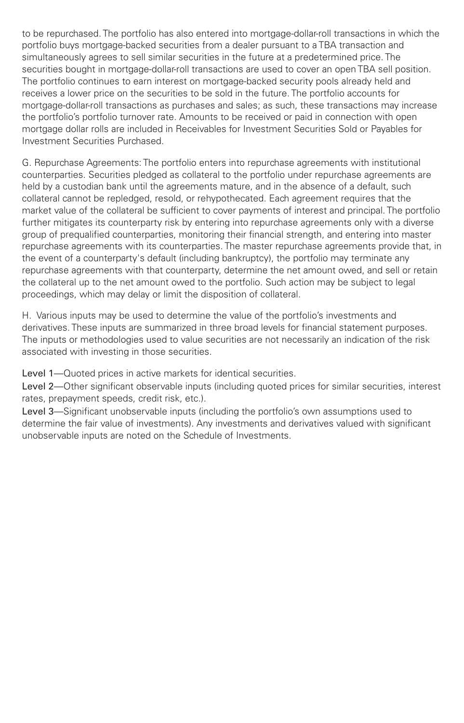to be repurchased. The portfolio has also entered into mortgage-dollar-roll transactions in which the portfolio buys mortgage-backed securities from a dealer pursuant to a TBA transaction and simultaneously agrees to sell similar securities in the future at a predetermined price. The securities bought in mortgage-dollar-roll transactions are used to cover an open TBA sell position. The portfolio continues to earn interest on mortgage-backed security pools already held and receives a lower price on the securities to be sold in the future. The portfolio accounts for mortgage-dollar-roll transactions as purchases and sales; as such, these transactions may increase the portfolio's portfolio turnover rate. Amounts to be received or paid in connection with open mortgage dollar rolls are included in Receivables for Investment Securities Sold or Payables for Investment Securities Purchased.

G. Repurchase Agreements: The portfolio enters into repurchase agreements with institutional counterparties. Securities pledged as collateral to the portfolio under repurchase agreements are held by a custodian bank until the agreements mature, and in the absence of a default, such collateral cannot be repledged, resold, or rehypothecated. Each agreement requires that the market value of the collateral be sufficient to cover payments of interest and principal. The portfolio further mitigates its counterparty risk by entering into repurchase agreements only with a diverse group of prequalified counterparties, monitoring their financial strength, and entering into master repurchase agreements with its counterparties. The master repurchase agreements provide that, in the event of a counterparty's default (including bankruptcy), the portfolio may terminate any repurchase agreements with that counterparty, determine the net amount owed, and sell or retain the collateral up to the net amount owed to the portfolio. Such action may be subject to legal proceedings, which may delay or limit the disposition of collateral.

H. Various inputs may be used to determine the value of the portfolio's investments and derivatives. These inputs are summarized in three broad levels for financial statement purposes. The inputs or methodologies used to value securities are not necessarily an indication of the risk associated with investing in those securities.

Level 1—Quoted prices in active markets for identical securities.

Level 2—Other significant observable inputs (including quoted prices for similar securities, interest rates, prepayment speeds, credit risk, etc.).

Level 3—Significant unobservable inputs (including the portfolio's own assumptions used to determine the fair value of investments). Any investments and derivatives valued with significant unobservable inputs are noted on the Schedule of Investments.